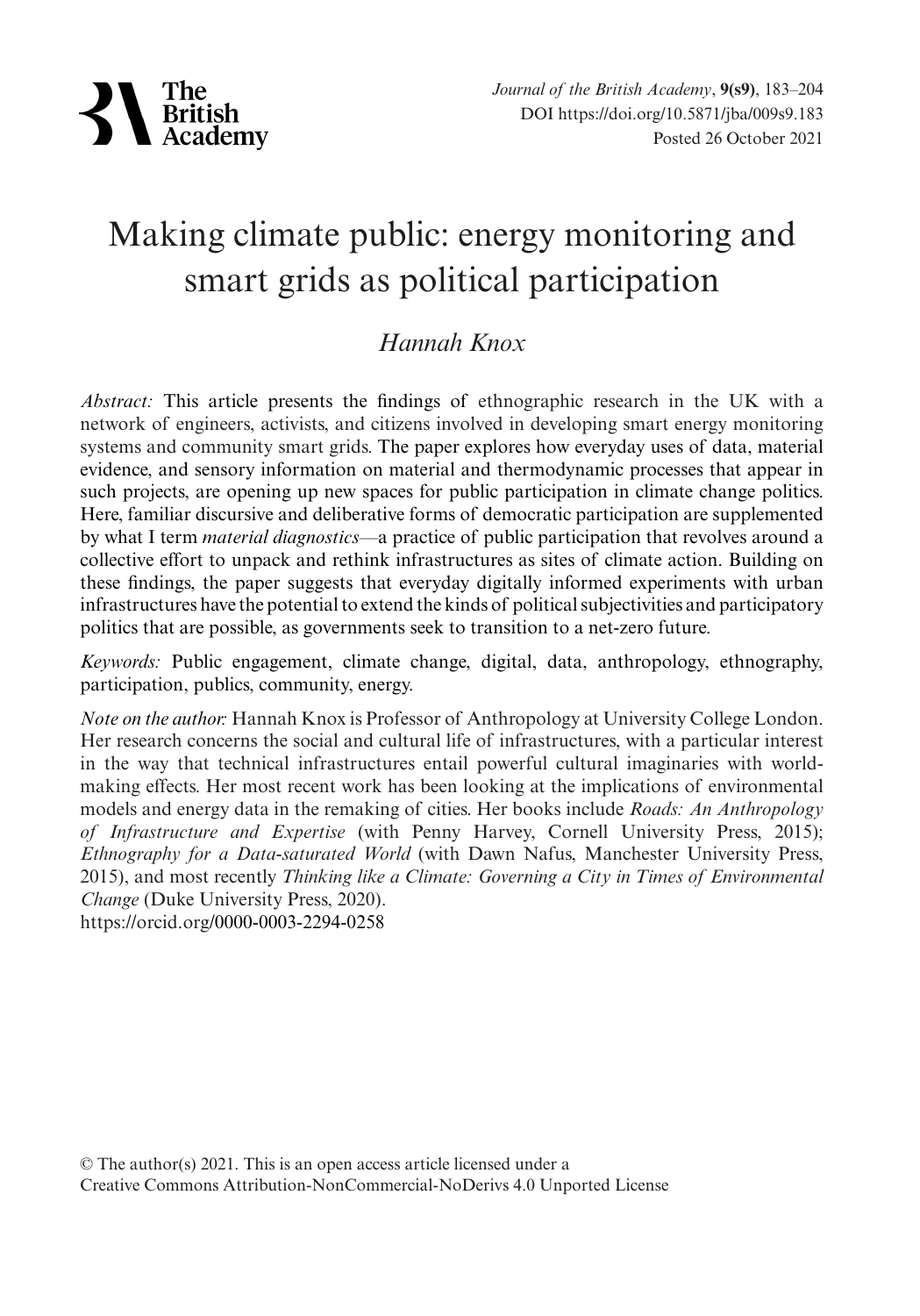

# Making climate public: energy monitoring and smart grids as political participation

## *Hannah Knox*

*Abstract:* This article presents the findings of ethnographic research in the UK with a network of engineers, activists, and citizens involved in developing smart energy monitoring systems and community smart grids. The paper explores how everyday uses of data, material evidence, and sensory information on material and thermodynamic processes that appear in such projects, are opening up new spaces for public participation in climate change politics. Here, familiar discursive and deliberative forms of democratic participation are supplemented by what I term *material diagnostics*—a practice of public participation that revolves around a collective effort to unpack and rethink infrastructures as sites of climate action. Building on these findings, the paper suggests that everyday digitally informed experiments with urban infrastructures have the potential to extend the kinds of political subjectivities and participatory politics that are possible, as governments seek to transition to a net-zero future.

*Keywords:* Public engagement, climate change, digital, data, anthropology, ethnography, participation, publics, community, energy.

*Note on the author:* Hannah Knox is Professor of Anthropology at University College London. Her research concerns the social and cultural life of infrastructures, with a particular interest in the way that technical infrastructures entail powerful cultural imaginaries with worldmaking effects. Her most recent work has been looking at the implications of environmental models and energy data in the remaking of cities. Her books include *Roads: An Anthropology of Infrastructure and Expertise* (with Penny Harvey, Cornell University Press, 2015); *Ethnography for a Data-saturated World* (with Dawn Nafus, Manchester University Press, 2015), and most recently *Thinking like a Climate: Governing a City in Times of Environmental Change* (Duke University Press, 2020).

https://orcid.org/0000-0003-2294-0258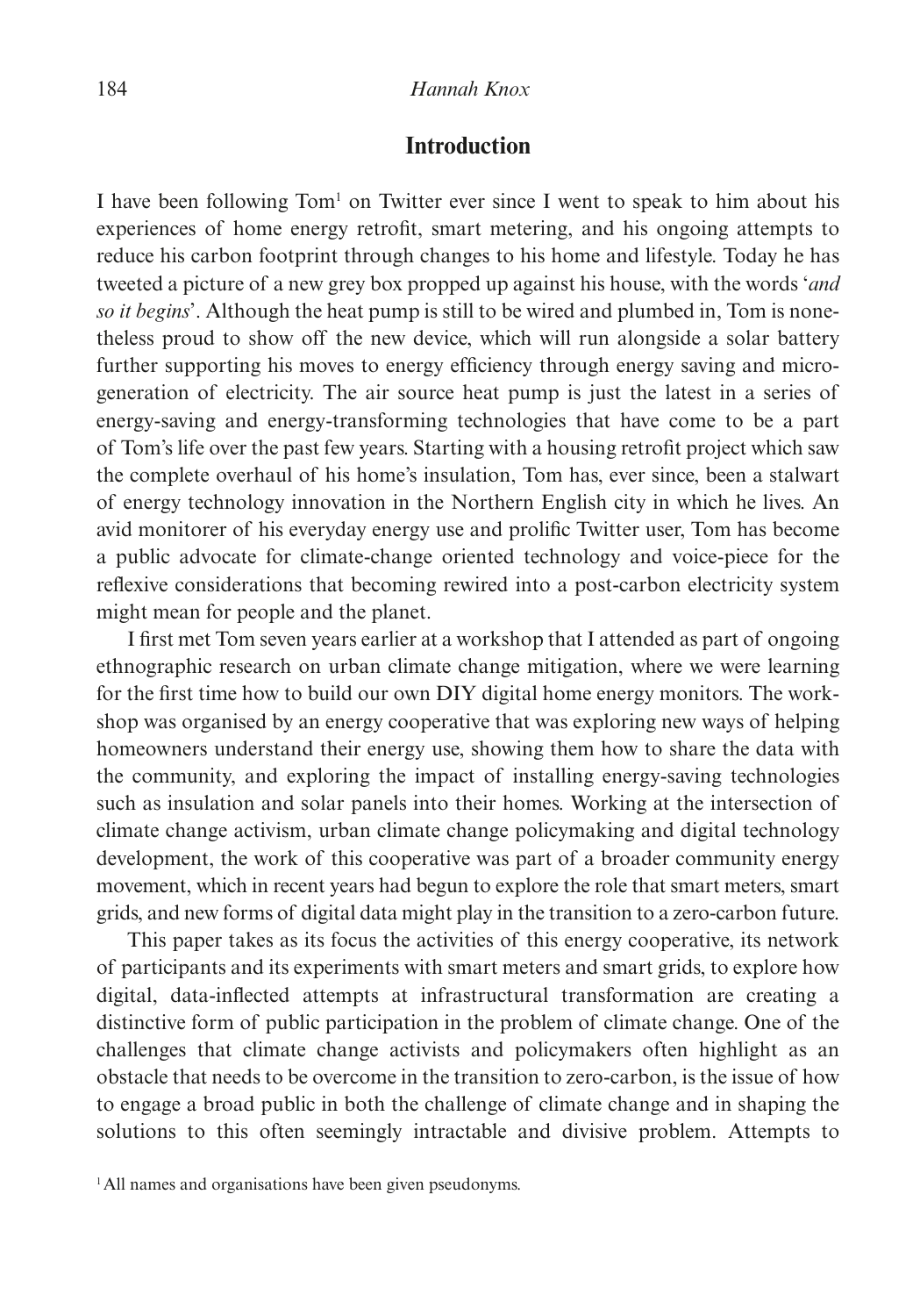## **Introduction**

I have been following Tom<sup>1</sup> on Twitter ever since I went to speak to him about his experiences of home energy retrofit, smart metering, and his ongoing attempts to reduce his carbon footprint through changes to his home and lifestyle. Today he has tweeted a picture of a new grey box propped up against his house, with the words '*and so it begins*'. Although the heat pump is still to be wired and plumbed in, Tom is nonetheless proud to show off the new device, which will run alongside a solar battery further supporting his moves to energy efficiency through energy saving and microgeneration of electricity. The air source heat pump is just the latest in a series of energy-saving and energy-transforming technologies that have come to be a part of Tom's life over the past few years. Starting with a housing retrofit project which saw the complete overhaul of his home's insulation, Tom has, ever since, been a stalwart of energy technology innovation in the Northern English city in which he lives. An avid monitorer of his everyday energy use and prolific Twitter user, Tom has become a public advocate for climate-change oriented technology and voice-piece for the reflexive considerations that becoming rewired into a post-carbon electricity system might mean for people and the planet.

I first met Tom seven years earlier at a workshop that I attended as part of ongoing ethnographic research on urban climate change mitigation, where we were learning for the first time how to build our own DIY digital home energy monitors. The workshop was organised by an energy cooperative that was exploring new ways of helping homeowners understand their energy use, showing them how to share the data with the community, and exploring the impact of installing energy-saving technologies such as insulation and solar panels into their homes. Working at the intersection of climate change activism, urban climate change policymaking and digital technology development, the work of this cooperative was part of a broader community energy movement, which in recent years had begun to explore the role that smart meters, smart grids, and new forms of digital data might play in the transition to a zero-carbon future.

This paper takes as its focus the activities of this energy cooperative, its network of participants and its experiments with smart meters and smart grids, to explore how digital, data-inflected attempts at infrastructural transformation are creating a distinctive form of public participation in the problem of climate change. One of the challenges that climate change activists and policymakers often highlight as an obstacle that needs to be overcome in the transition to zero-carbon, is the issue of how to engage a broad public in both the challenge of climate change and in shaping the solutions to this often seemingly intractable and divisive problem. Attempts to

<sup>&</sup>lt;sup>1</sup>All names and organisations have been given pseudonyms.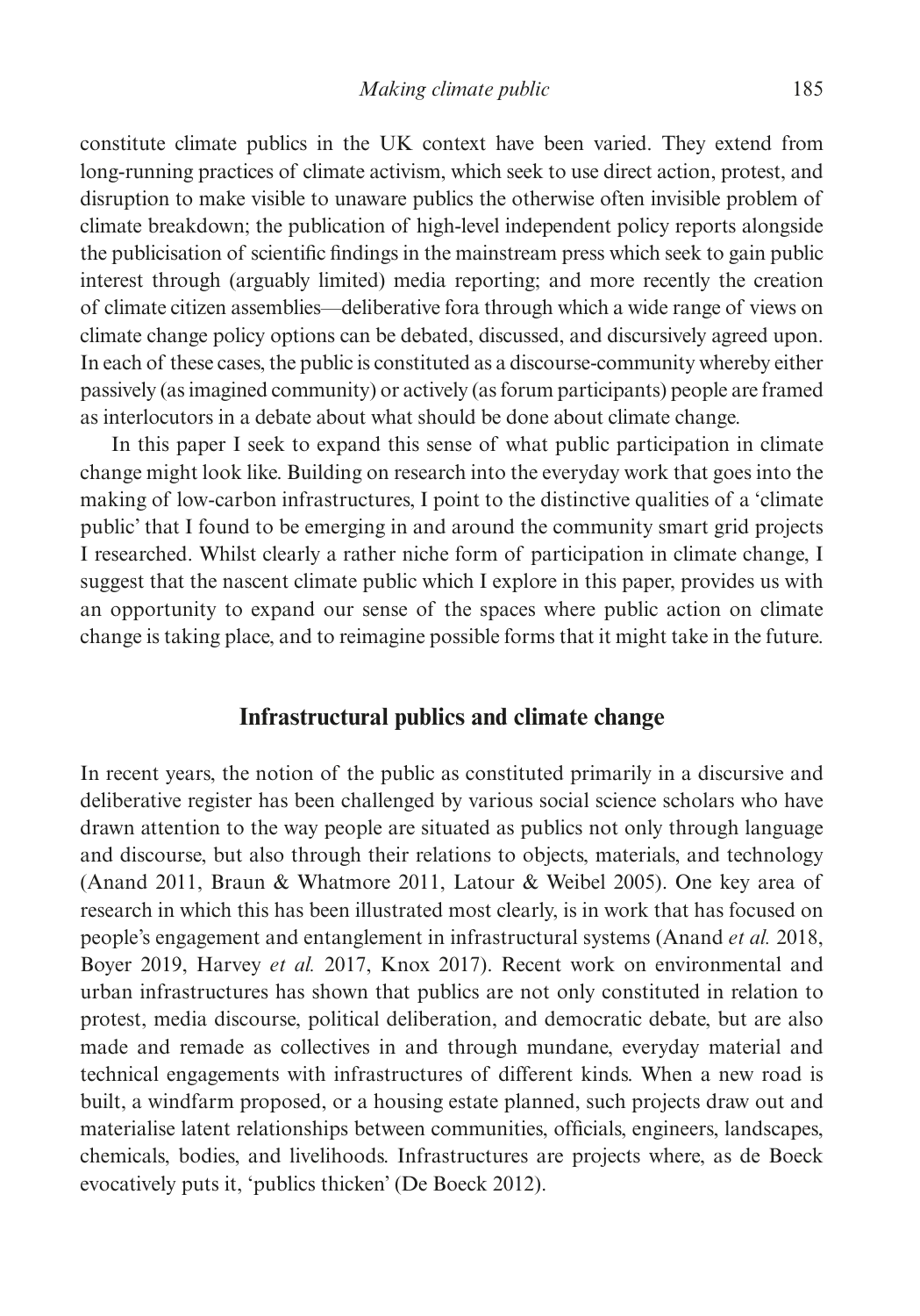constitute climate publics in the UK context have been varied. They extend from long-running practices of climate activism, which seek to use direct action, protest, and disruption to make visible to unaware publics the otherwise often invisible problem of climate breakdown; the publication of high-level independent policy reports alongside the publicisation of scientific findings in the mainstream press which seek to gain public interest through (arguably limited) media reporting; and more recently the creation of climate citizen assemblies—deliberative fora through which a wide range of views on climate change policy options can be debated, discussed, and discursively agreed upon. In each of these cases, the public is constituted as a discourse-community whereby either passively (as imagined community) or actively (as forum participants) people are framed as interlocutors in a debate about what should be done about climate change.

In this paper I seek to expand this sense of what public participation in climate change might look like. Building on research into the everyday work that goes into the making of low-carbon infrastructures, I point to the distinctive qualities of a 'climate public' that I found to be emerging in and around the community smart grid projects I researched. Whilst clearly a rather niche form of participation in climate change, I suggest that the nascent climate public which I explore in this paper, provides us with an opportunity to expand our sense of the spaces where public action on climate change is taking place, and to reimagine possible forms that it might take in the future.

## **Infrastructural publics and climate change**

In recent years, the notion of the public as constituted primarily in a discursive and deliberative register has been challenged by various social science scholars who have drawn attention to the way people are situated as publics not only through language and discourse, but also through their relations to objects, materials, and technology (Anand 2011, Braun & Whatmore 2011, Latour & Weibel 2005). One key area of research in which this has been illustrated most clearly, is in work that has focused on people's engagement and entanglement in infrastructural systems (Anand *et al.* 2018, Boyer 2019, Harvey *et al.* 2017, Knox 2017). Recent work on environmental and urban infrastructures has shown that publics are not only constituted in relation to protest, media discourse, political deliberation, and democratic debate, but are also made and remade as collectives in and through mundane, everyday material and technical engagements with infrastructures of different kinds. When a new road is built, a windfarm proposed, or a housing estate planned, such projects draw out and materialise latent relationships between communities, officials, engineers, landscapes, chemicals, bodies, and livelihoods. Infrastructures are projects where, as de Boeck evocatively puts it, 'publics thicken' (De Boeck 2012).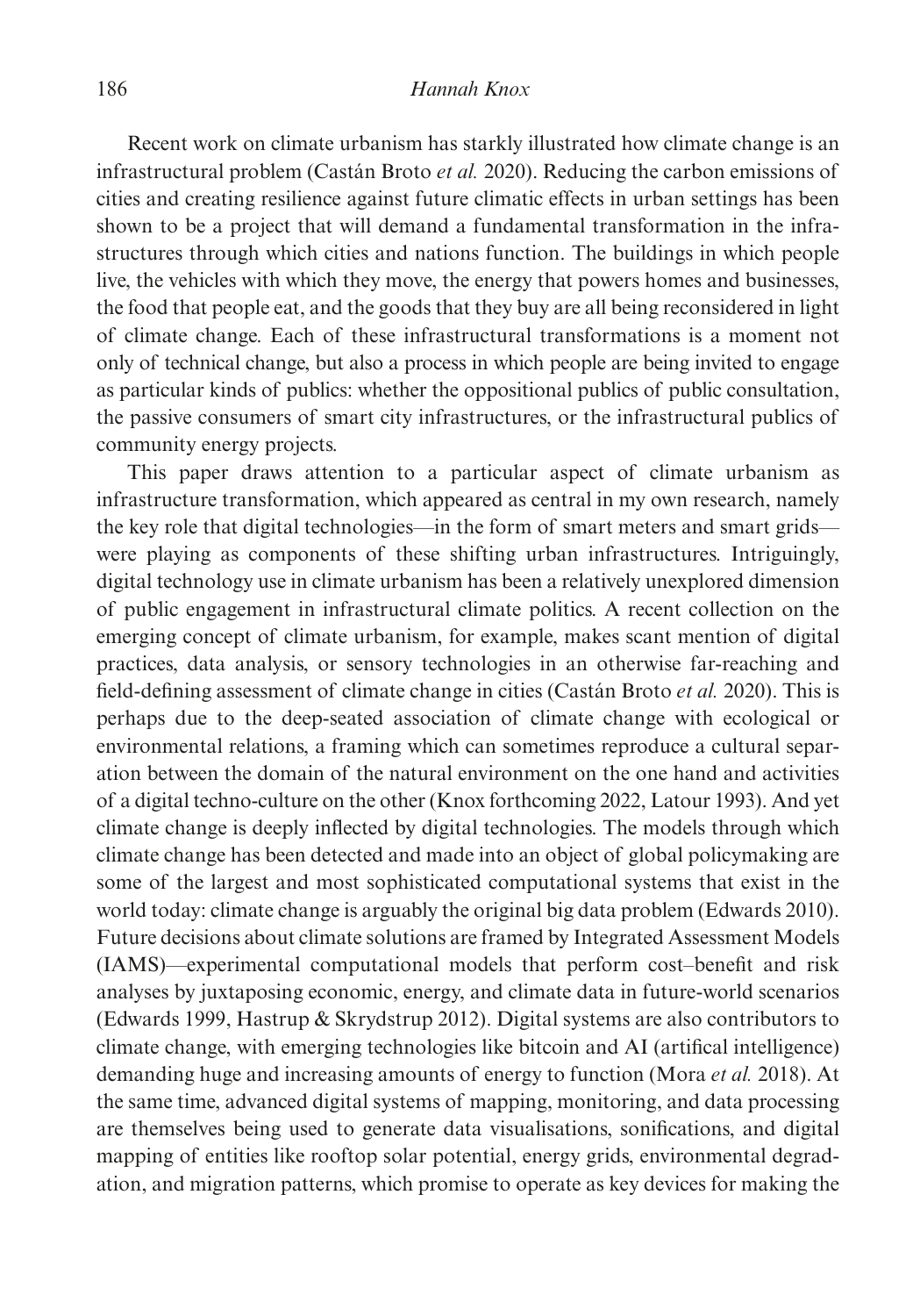Recent work on climate urbanism has starkly illustrated how climate change is an infrastructural problem (Castán Broto *et al.* 2020). Reducing the carbon emissions of cities and creating resilience against future climatic effects in urban settings has been shown to be a project that will demand a fundamental transformation in the infrastructures through which cities and nations function. The buildings in which people live, the vehicles with which they move, the energy that powers homes and businesses, the food that people eat, and the goods that they buy are all being reconsidered in light of climate change. Each of these infrastructural transformations is a moment not only of technical change, but also a process in which people are being invited to engage as particular kinds of publics: whether the oppositional publics of public consultation, the passive consumers of smart city infrastructures, or the infrastructural publics of community energy projects.

This paper draws attention to a particular aspect of climate urbanism as infrastructure transformation, which appeared as central in my own research, namely the key role that digital technologies—in the form of smart meters and smart grids were playing as components of these shifting urban infrastructures. Intriguingly, digital technology use in climate urbanism has been a relatively unexplored dimension of public engagement in infrastructural climate politics. A recent collection on the emerging concept of climate urbanism, for example, makes scant mention of digital practices, data analysis, or sensory technologies in an otherwise far-reaching and field-defining assessment of climate change in cities (Castán Broto *et al.* 2020). This is perhaps due to the deep-seated association of climate change with ecological or environmental relations, a framing which can sometimes reproduce a cultural separation between the domain of the natural environment on the one hand and activities of a digital techno-culture on the other (Knox forthcoming 2022, Latour 1993). And yet climate change is deeply inflected by digital technologies. The models through which climate change has been detected and made into an object of global policymaking are some of the largest and most sophisticated computational systems that exist in the world today: climate change is arguably the original big data problem (Edwards 2010). Future decisions about climate solutions are framed by Integrated Assessment Models (IAMS)—experimental computational models that perform cost–benefit and risk analyses by juxtaposing economic, energy, and climate data in future-world scenarios (Edwards 1999, Hastrup & Skrydstrup 2012). Digital systems are also contributors to climate change, with emerging technologies like bitcoin and AI (artifical intelligence) demanding huge and increasing amounts of energy to function (Mora *et al.* 2018). At the same time, advanced digital systems of mapping, monitoring, and data processing are themselves being used to generate data visualisations, sonifications, and digital mapping of entities like rooftop solar potential, energy grids, environmental degradation, and migration patterns, which promise to operate as key devices for making the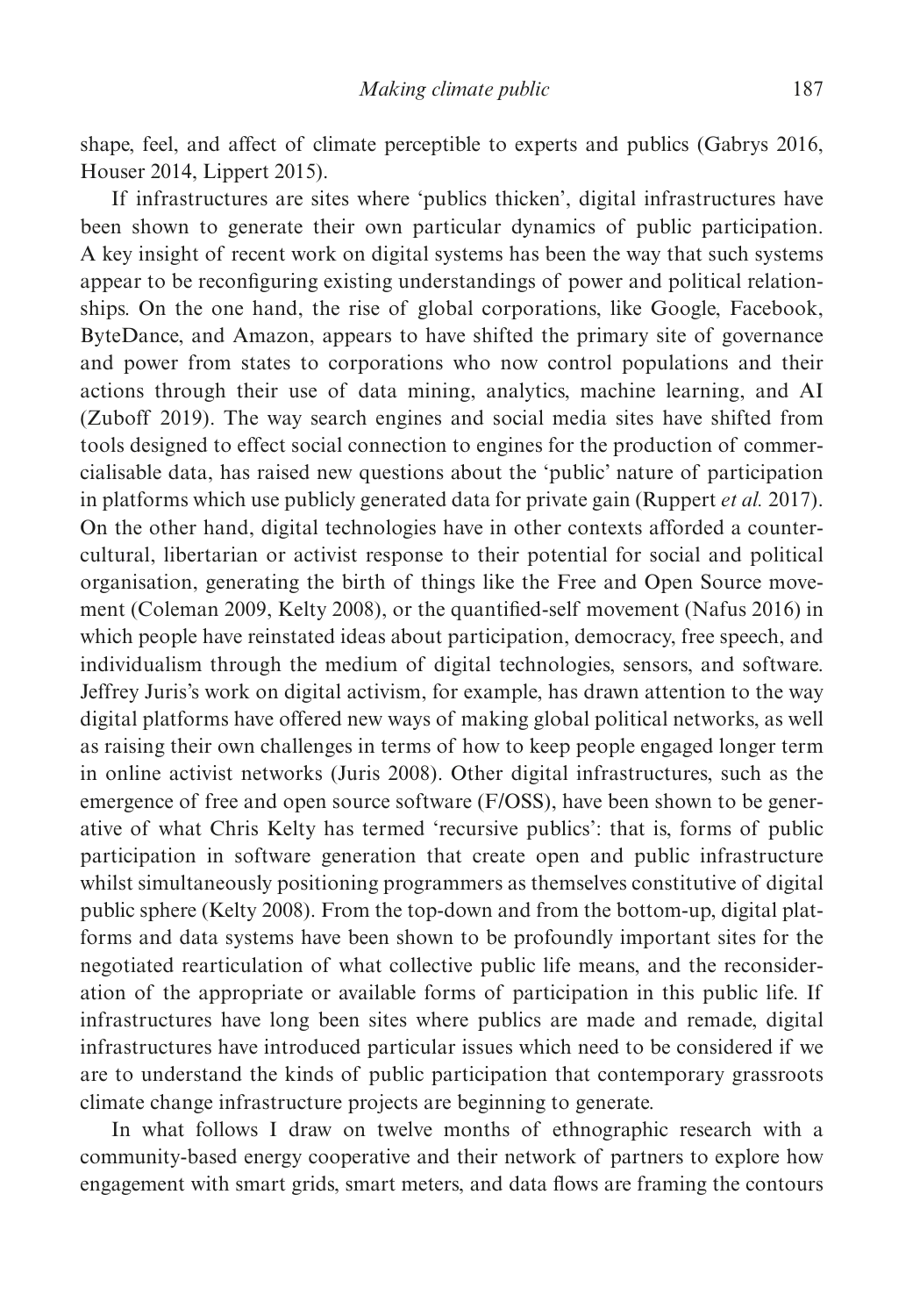shape, feel, and affect of climate perceptible to experts and publics (Gabrys 2016, Houser 2014, Lippert 2015).

If infrastructures are sites where 'publics thicken', digital infrastructures have been shown to generate their own particular dynamics of public participation. A key insight of recent work on digital systems has been the way that such systems appear to be reconfiguring existing understandings of power and political relationships. On the one hand, the rise of global corporations, like Google, Facebook, ByteDance, and Amazon, appears to have shifted the primary site of governance and power from states to corporations who now control populations and their actions through their use of data mining, analytics, machine learning, and AI (Zuboff 2019). The way search engines and social media sites have shifted from tools designed to effect social connection to engines for the production of commercialisable data, has raised new questions about the 'public' nature of participation in platforms which use publicly generated data for private gain (Ruppert *et al.* 2017). On the other hand, digital technologies have in other contexts afforded a countercultural, libertarian or activist response to their potential for social and political organisation, generating the birth of things like the Free and Open Source movement (Coleman 2009, Kelty 2008), or the quantified-self movement (Nafus 2016) in which people have reinstated ideas about participation, democracy, free speech, and individualism through the medium of digital technologies, sensors, and software. Jeffrey Juris's work on digital activism, for example, has drawn attention to the way digital platforms have offered new ways of making global political networks, as well as raising their own challenges in terms of how to keep people engaged longer term in online activist networks (Juris 2008). Other digital infrastructures, such as the emergence of free and open source software (F/OSS), have been shown to be generative of what Chris Kelty has termed 'recursive publics': that is, forms of public participation in software generation that create open and public infrastructure whilst simultaneously positioning programmers as themselves constitutive of digital public sphere (Kelty 2008). From the top-down and from the bottom-up, digital platforms and data systems have been shown to be profoundly important sites for the negotiated rearticulation of what collective public life means, and the reconsideration of the appropriate or available forms of participation in this public life. If infrastructures have long been sites where publics are made and remade, digital infrastructures have introduced particular issues which need to be considered if we are to understand the kinds of public participation that contemporary grassroots climate change infrastructure projects are beginning to generate.

In what follows I draw on twelve months of ethnographic research with a community-based energy cooperative and their network of partners to explore how engagement with smart grids, smart meters, and data flows are framing the contours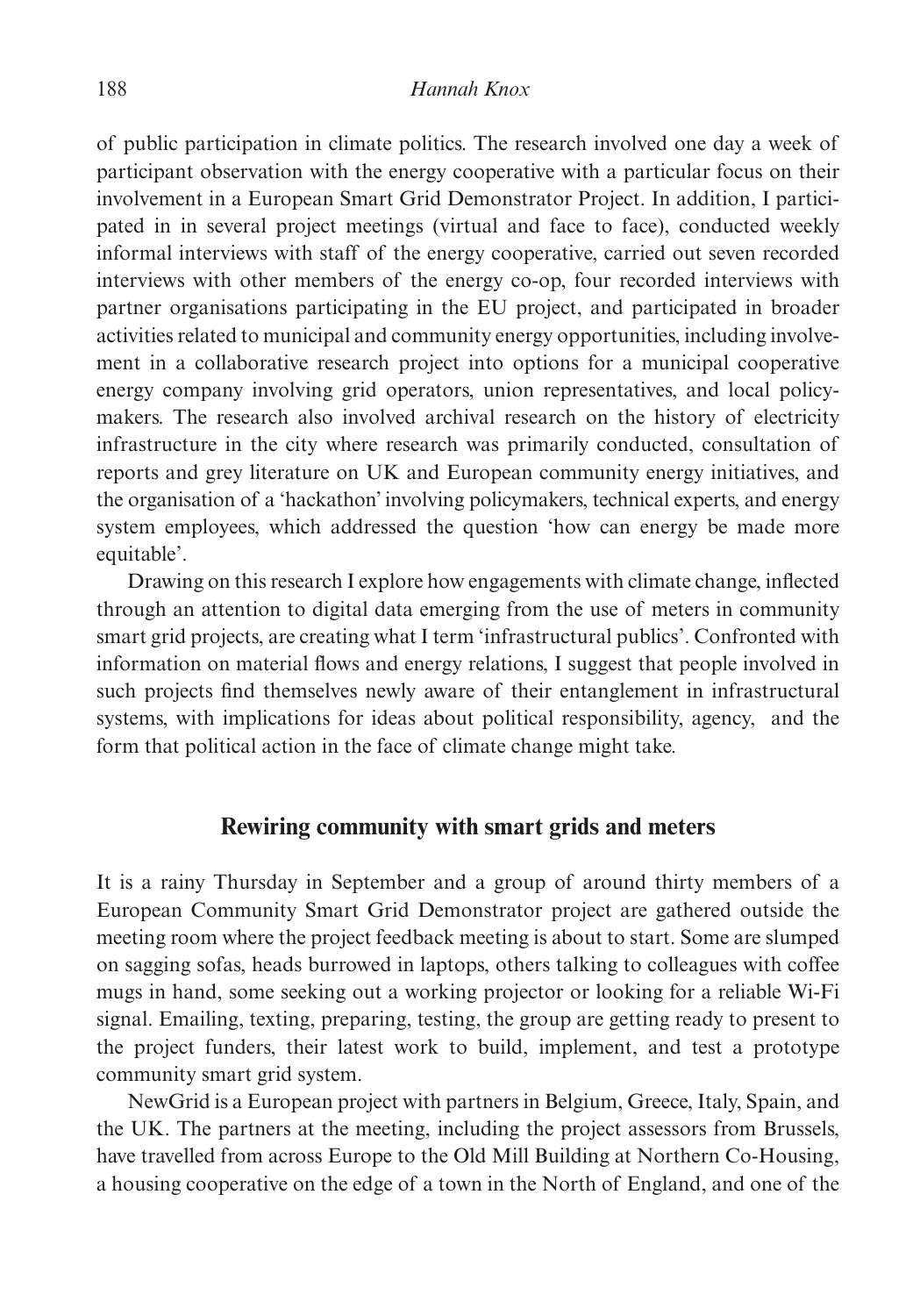of public participation in climate politics. The research involved one day a week of participant observation with the energy cooperative with a particular focus on their involvement in a European Smart Grid Demonstrator Project. In addition, I participated in in several project meetings (virtual and face to face), conducted weekly informal interviews with staff of the energy cooperative, carried out seven recorded interviews with other members of the energy co-op, four recorded interviews with partner organisations participating in the EU project, and participated in broader activities related to municipal and community energy opportunities, including involvement in a collaborative research project into options for a municipal cooperative energy company involving grid operators, union representatives, and local policymakers. The research also involved archival research on the history of electricity infrastructure in the city where research was primarily conducted, consultation of reports and grey literature on UK and European community energy initiatives, and the organisation of a 'hackathon' involving policymakers, technical experts, and energy system employees, which addressed the question 'how can energy be made more equitable'.

Drawing on this research I explore how engagements with climate change, inflected through an attention to digital data emerging from the use of meters in community smart grid projects, are creating what I term 'infrastructural publics'. Confronted with information on material flows and energy relations, I suggest that people involved in such projects find themselves newly aware of their entanglement in infrastructural systems, with implications for ideas about political responsibility, agency, and the form that political action in the face of climate change might take.

## **Rewiring community with smart grids and meters**

It is a rainy Thursday in September and a group of around thirty members of a European Community Smart Grid Demonstrator project are gathered outside the meeting room where the project feedback meeting is about to start. Some are slumped on sagging sofas, heads burrowed in laptops, others talking to colleagues with coffee mugs in hand, some seeking out a working projector or looking for a reliable Wi-Fi signal. Emailing, texting, preparing, testing, the group are getting ready to present to the project funders, their latest work to build, implement, and test a prototype community smart grid system.

NewGrid is a European project with partners in Belgium, Greece, Italy, Spain, and the UK. The partners at the meeting, including the project assessors from Brussels, have travelled from across Europe to the Old Mill Building at Northern Co-Housing, a housing cooperative on the edge of a town in the North of England, and one of the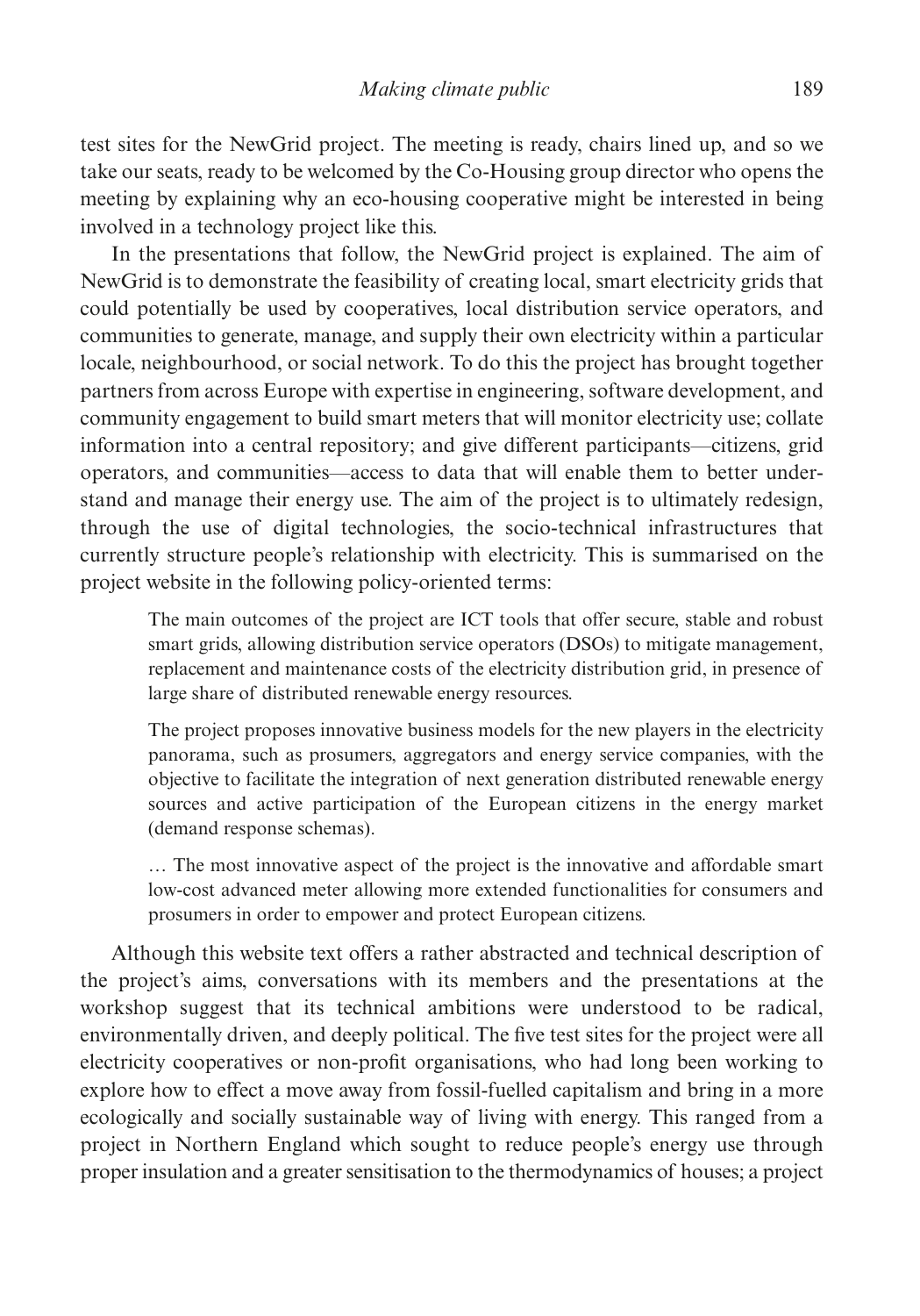test sites for the NewGrid project. The meeting is ready, chairs lined up, and so we take our seats, ready to be welcomed by the Co-Housing group director who opens the meeting by explaining why an eco-housing cooperative might be interested in being involved in a technology project like this.

In the presentations that follow, the NewGrid project is explained. The aim of NewGrid is to demonstrate the feasibility of creating local, smart electricity grids that could potentially be used by cooperatives, local distribution service operators, and communities to generate, manage, and supply their own electricity within a particular locale, neighbourhood, or social network. To do this the project has brought together partners from across Europe with expertise in engineering, software development, and community engagement to build smart meters that will monitor electricity use; collate information into a central repository; and give different participants—citizens, grid operators, and communities—access to data that will enable them to better understand and manage their energy use. The aim of the project is to ultimately redesign, through the use of digital technologies, the socio-technical infrastructures that currently structure people's relationship with electricity. This is summarised on the project website in the following policy-oriented terms:

The main outcomes of the project are ICT tools that offer secure, stable and robust smart grids, allowing distribution service operators (DSOs) to mitigate management, replacement and maintenance costs of the electricity distribution grid, in presence of large share of distributed renewable energy resources.

The project proposes innovative business models for the new players in the electricity panorama, such as prosumers, aggregators and energy service companies, with the objective to facilitate the integration of next generation distributed renewable energy sources and active participation of the European citizens in the energy market (demand response schemas).

*…* The most innovative aspect of the project is the innovative and affordable smart low-cost advanced meter allowing more extended functionalities for consumers and prosumers in order to empower and protect European citizens.

Although this website text offers a rather abstracted and technical description of the project's aims, conversations with its members and the presentations at the workshop suggest that its technical ambitions were understood to be radical, environmentally driven, and deeply political. The five test sites for the project were all electricity cooperatives or non-profit organisations, who had long been working to explore how to effect a move away from fossil-fuelled capitalism and bring in a more ecologically and socially sustainable way of living with energy. This ranged from a project in Northern England which sought to reduce people's energy use through proper insulation and a greater sensitisation to the thermodynamics of houses; a project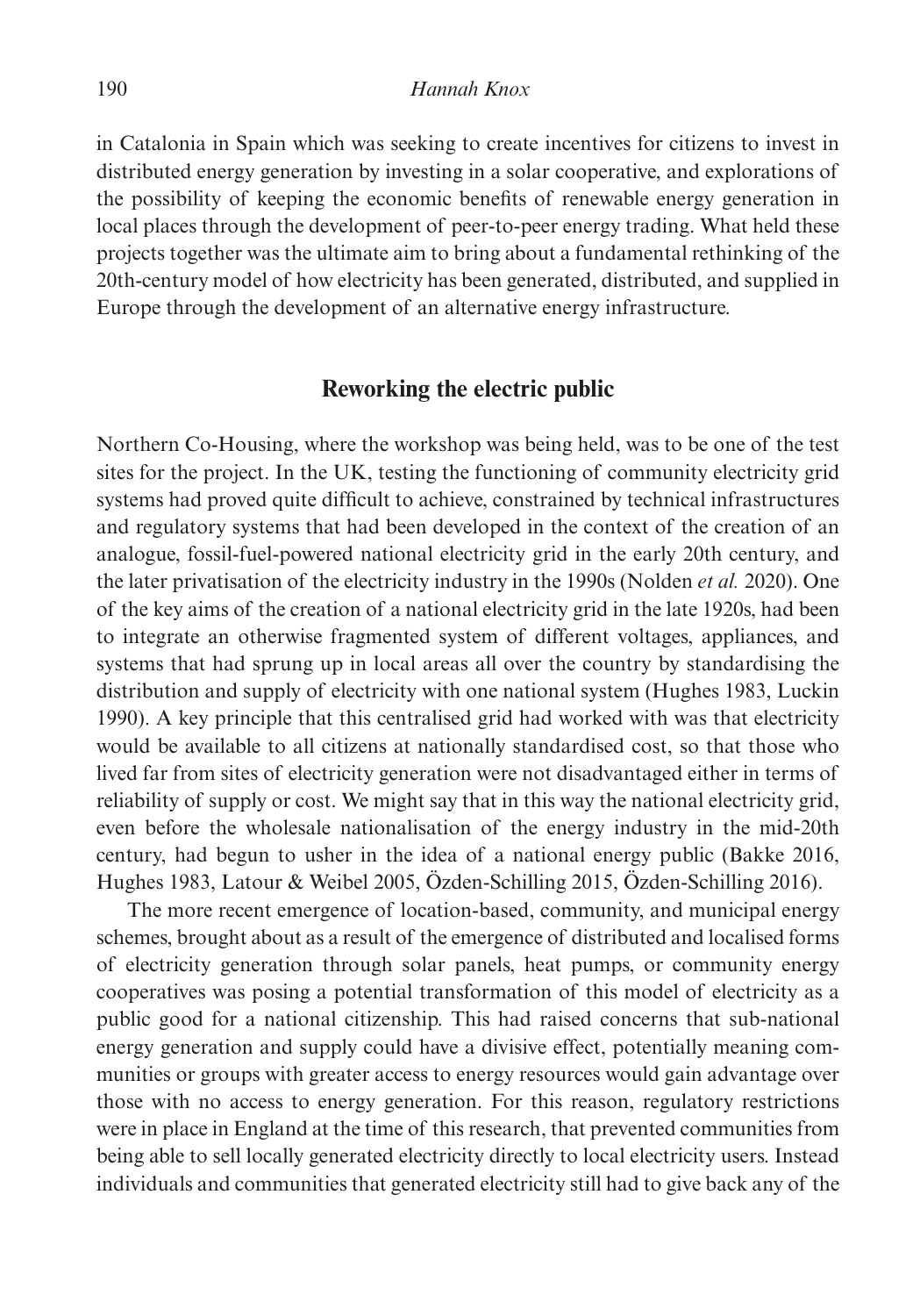in Catalonia in Spain which was seeking to create incentives for citizens to invest in distributed energy generation by investing in a solar cooperative, and explorations of the possibility of keeping the economic benefits of renewable energy generation in local places through the development of peer-to-peer energy trading. What held these projects together was the ultimate aim to bring about a fundamental rethinking of the 20th-century model of how electricity has been generated, distributed, and supplied in Europe through the development of an alternative energy infrastructure.

## **Reworking the electric public**

Northern Co-Housing, where the workshop was being held, was to be one of the test sites for the project. In the UK, testing the functioning of community electricity grid systems had proved quite difficult to achieve, constrained by technical infrastructures and regulatory systems that had been developed in the context of the creation of an analogue, fossil-fuel-powered national electricity grid in the early 20th century, and the later privatisation of the electricity industry in the 1990s (Nolden *et al.* 2020). One of the key aims of the creation of a national electricity grid in the late 1920s, had been to integrate an otherwise fragmented system of different voltages, appliances, and systems that had sprung up in local areas all over the country by standardising the distribution and supply of electricity with one national system (Hughes 1983, Luckin 1990). A key principle that this centralised grid had worked with was that electricity would be available to all citizens at nationally standardised cost, so that those who lived far from sites of electricity generation were not disadvantaged either in terms of reliability of supply or cost. We might say that in this way the national electricity grid, even before the wholesale nationalisation of the energy industry in the mid-20th century, had begun to usher in the idea of a national energy public (Bakke 2016, Hughes 1983, Latour & Weibel 2005, Özden-Schilling 2015, Özden-Schilling 2016).

The more recent emergence of location-based, community, and municipal energy schemes, brought about as a result of the emergence of distributed and localised forms of electricity generation through solar panels, heat pumps, or community energy cooperatives was posing a potential transformation of this model of electricity as a public good for a national citizenship. This had raised concerns that sub-national energy generation and supply could have a divisive effect, potentially meaning communities or groups with greater access to energy resources would gain advantage over those with no access to energy generation. For this reason, regulatory restrictions were in place in England at the time of this research, that prevented communities from being able to sell locally generated electricity directly to local electricity users. Instead individuals and communities that generated electricity still had to give back any of the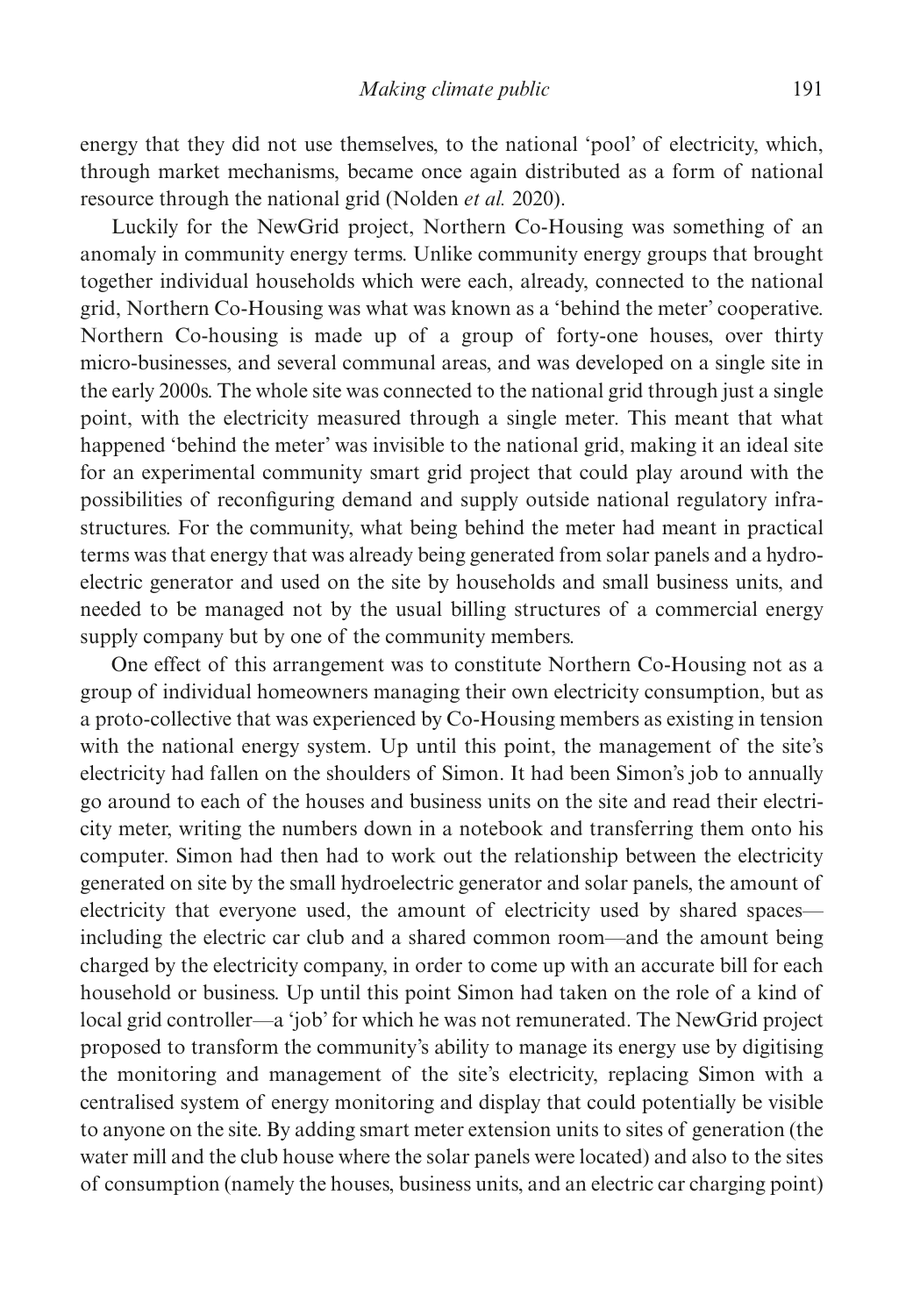energy that they did not use themselves, to the national 'pool' of electricity, which, through market mechanisms, became once again distributed as a form of national resource through the national grid (Nolden *et al.* 2020).

Luckily for the NewGrid project, Northern Co-Housing was something of an anomaly in community energy terms. Unlike community energy groups that brought together individual households which were each, already, connected to the national grid, Northern Co-Housing was what was known as a 'behind the meter' cooperative. Northern Co-housing is made up of a group of forty-one houses, over thirty micro-businesses, and several communal areas, and was developed on a single site in the early 2000s. The whole site was connected to the national grid through just a single point, with the electricity measured through a single meter. This meant that what happened 'behind the meter' was invisible to the national grid, making it an ideal site for an experimental community smart grid project that could play around with the possibilities of reconfiguring demand and supply outside national regulatory infrastructures. For the community, what being behind the meter had meant in practical terms was that energy that was already being generated from solar panels and a hydroelectric generator and used on the site by households and small business units, and needed to be managed not by the usual billing structures of a commercial energy supply company but by one of the community members.

One effect of this arrangement was to constitute Northern Co-Housing not as a group of individual homeowners managing their own electricity consumption, but as a proto-collective that was experienced by Co-Housing members as existing in tension with the national energy system. Up until this point, the management of the site's electricity had fallen on the shoulders of Simon. It had been Simon's job to annually go around to each of the houses and business units on the site and read their electricity meter, writing the numbers down in a notebook and transferring them onto his computer. Simon had then had to work out the relationship between the electricity generated on site by the small hydroelectric generator and solar panels, the amount of electricity that everyone used, the amount of electricity used by shared spaces including the electric car club and a shared common room—and the amount being charged by the electricity company, in order to come up with an accurate bill for each household or business. Up until this point Simon had taken on the role of a kind of local grid controller—a 'job' for which he was not remunerated. The NewGrid project proposed to transform the community's ability to manage its energy use by digitising the monitoring and management of the site's electricity, replacing Simon with a centralised system of energy monitoring and display that could potentially be visible to anyone on the site. By adding smart meter extension units to sites of generation (the water mill and the club house where the solar panels were located) and also to the sites of consumption (namely the houses, business units, and an electric car charging point)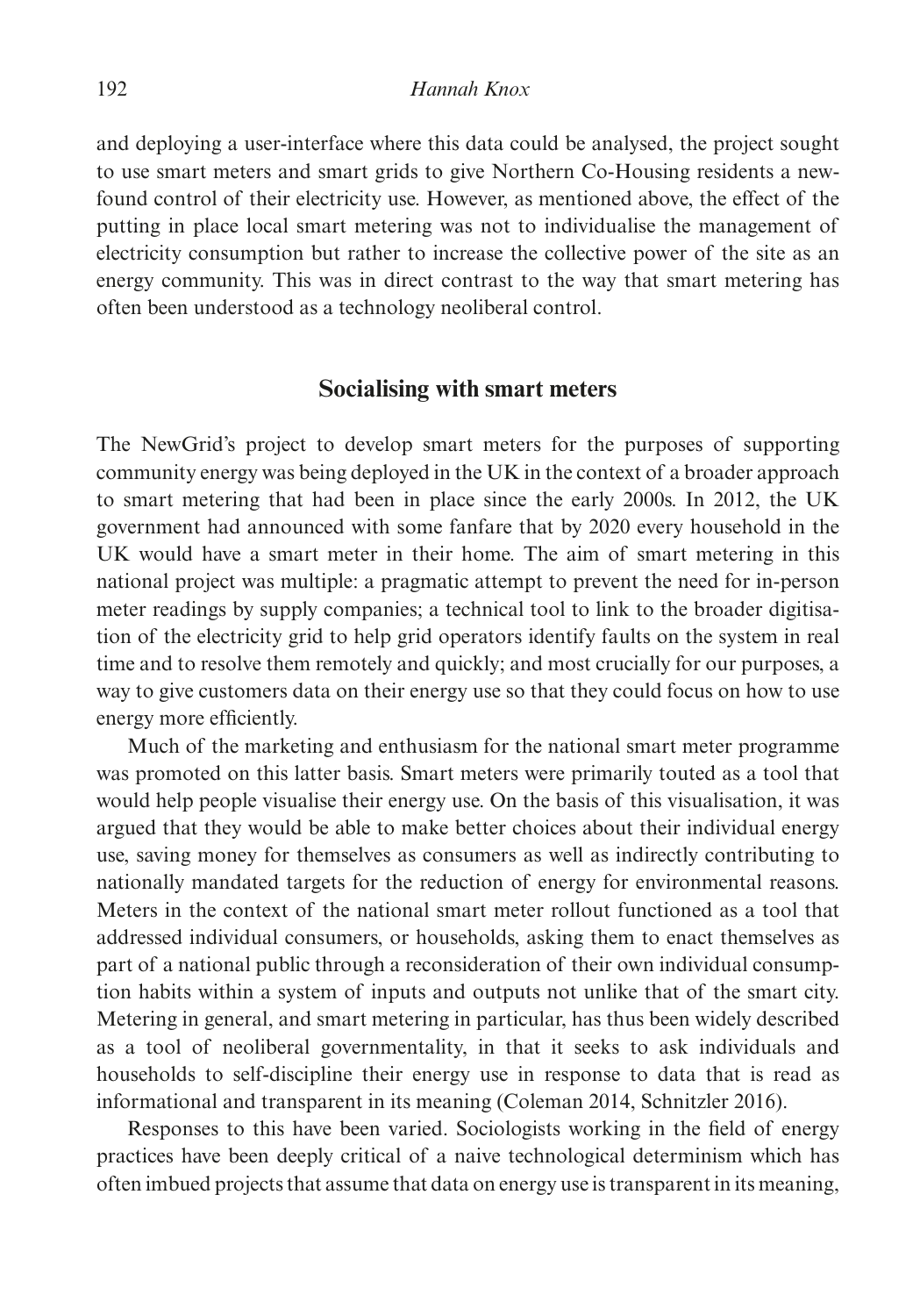and deploying a user-interface where this data could be analysed, the project sought to use smart meters and smart grids to give Northern Co-Housing residents a newfound control of their electricity use. However, as mentioned above, the effect of the putting in place local smart metering was not to individualise the management of electricity consumption but rather to increase the collective power of the site as an energy community. This was in direct contrast to the way that smart metering has often been understood as a technology neoliberal control.

### **Socialising with smart meters**

The NewGrid's project to develop smart meters for the purposes of supporting community energy was being deployed in the UK in the context of a broader approach to smart metering that had been in place since the early 2000s. In 2012, the UK government had announced with some fanfare that by 2020 every household in the UK would have a smart meter in their home. The aim of smart metering in this national project was multiple: a pragmatic attempt to prevent the need for in-person meter readings by supply companies; a technical tool to link to the broader digitisation of the electricity grid to help grid operators identify faults on the system in real time and to resolve them remotely and quickly; and most crucially for our purposes, a way to give customers data on their energy use so that they could focus on how to use energy more efficiently.

Much of the marketing and enthusiasm for the national smart meter programme was promoted on this latter basis. Smart meters were primarily touted as a tool that would help people visualise their energy use. On the basis of this visualisation, it was argued that they would be able to make better choices about their individual energy use, saving money for themselves as consumers as well as indirectly contributing to nationally mandated targets for the reduction of energy for environmental reasons. Meters in the context of the national smart meter rollout functioned as a tool that addressed individual consumers, or households, asking them to enact themselves as part of a national public through a reconsideration of their own individual consumption habits within a system of inputs and outputs not unlike that of the smart city. Metering in general, and smart metering in particular, has thus been widely described as a tool of neoliberal governmentality, in that it seeks to ask individuals and households to self-discipline their energy use in response to data that is read as informational and transparent in its meaning (Coleman 2014, Schnitzler 2016).

Responses to this have been varied. Sociologists working in the field of energy practices have been deeply critical of a naive technological determinism which has often imbued projects that assume that data on energy use is transparent in its meaning,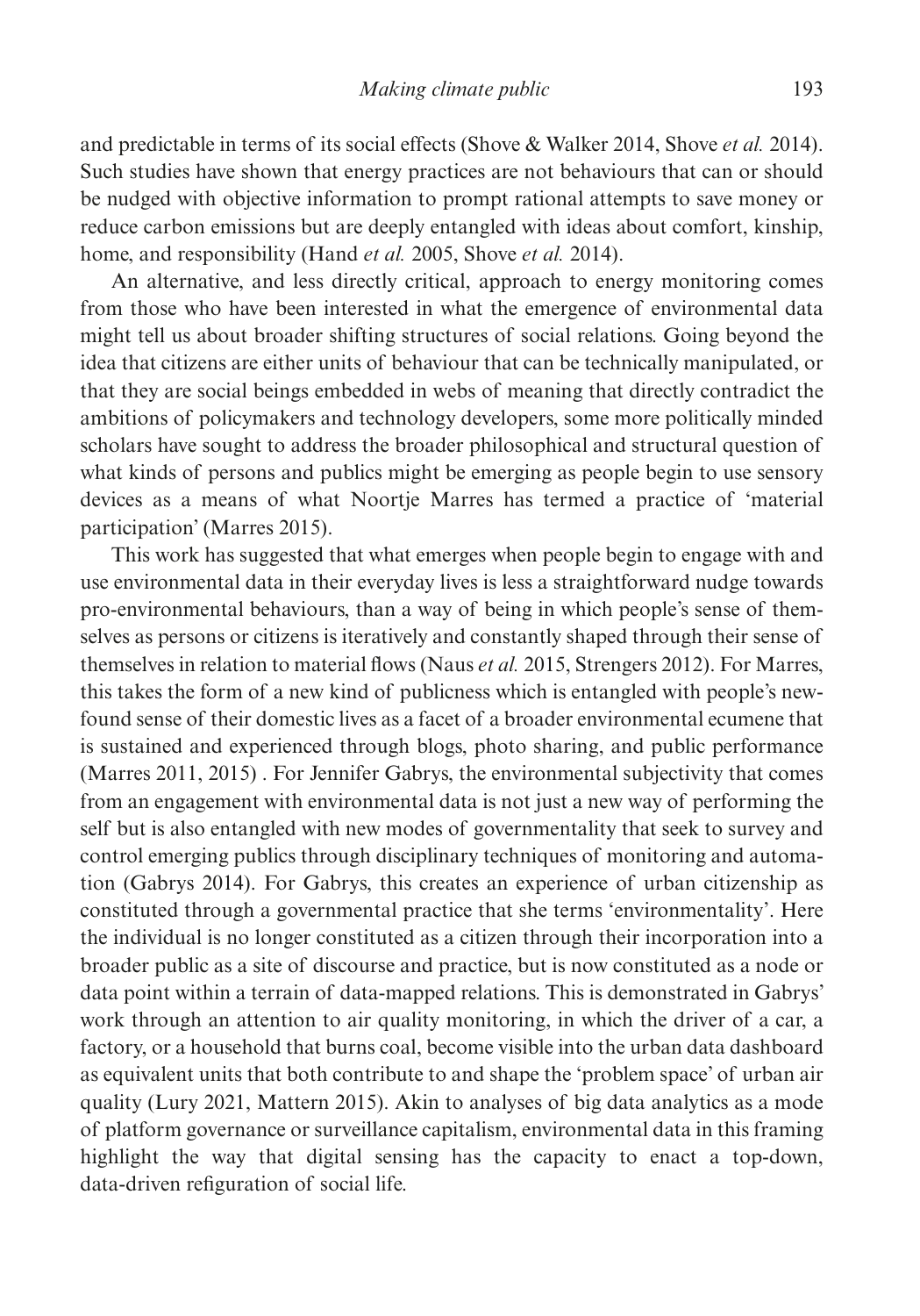and predictable in terms of its social effects (Shove & Walker 2014, Shove *et al.* 2014). Such studies have shown that energy practices are not behaviours that can or should be nudged with objective information to prompt rational attempts to save money or reduce carbon emissions but are deeply entangled with ideas about comfort, kinship, home, and responsibility (Hand *et al.* 2005, Shove *et al.* 2014).

An alternative, and less directly critical, approach to energy monitoring comes from those who have been interested in what the emergence of environmental data might tell us about broader shifting structures of social relations. Going beyond the idea that citizens are either units of behaviour that can be technically manipulated, or that they are social beings embedded in webs of meaning that directly contradict the ambitions of policymakers and technology developers, some more politically minded scholars have sought to address the broader philosophical and structural question of what kinds of persons and publics might be emerging as people begin to use sensory devices as a means of what Noortje Marres has termed a practice of 'material participation' (Marres 2015).

This work has suggested that what emerges when people begin to engage with and use environmental data in their everyday lives is less a straightforward nudge towards pro-environmental behaviours, than a way of being in which people's sense of themselves as persons or citizens is iteratively and constantly shaped through their sense of themselves in relation to material flows (Naus *et al.* 2015, Strengers 2012). For Marres, this takes the form of a new kind of publicness which is entangled with people's newfound sense of their domestic lives as a facet of a broader environmental ecumene that is sustained and experienced through blogs, photo sharing, and public performance (Marres 2011, 2015) . For Jennifer Gabrys, the environmental subjectivity that comes from an engagement with environmental data is not just a new way of performing the self but is also entangled with new modes of governmentality that seek to survey and control emerging publics through disciplinary techniques of monitoring and automation (Gabrys 2014). For Gabrys, this creates an experience of urban citizenship as constituted through a governmental practice that she terms 'environmentality'. Here the individual is no longer constituted as a citizen through their incorporation into a broader public as a site of discourse and practice, but is now constituted as a node or data point within a terrain of data-mapped relations. This is demonstrated in Gabrys' work through an attention to air quality monitoring, in which the driver of a car, a factory, or a household that burns coal, become visible into the urban data dashboard as equivalent units that both contribute to and shape the 'problem space' of urban air quality (Lury 2021, Mattern 2015). Akin to analyses of big data analytics as a mode of platform governance or surveillance capitalism, environmental data in this framing highlight the way that digital sensing has the capacity to enact a top-down, data-driven refiguration of social life.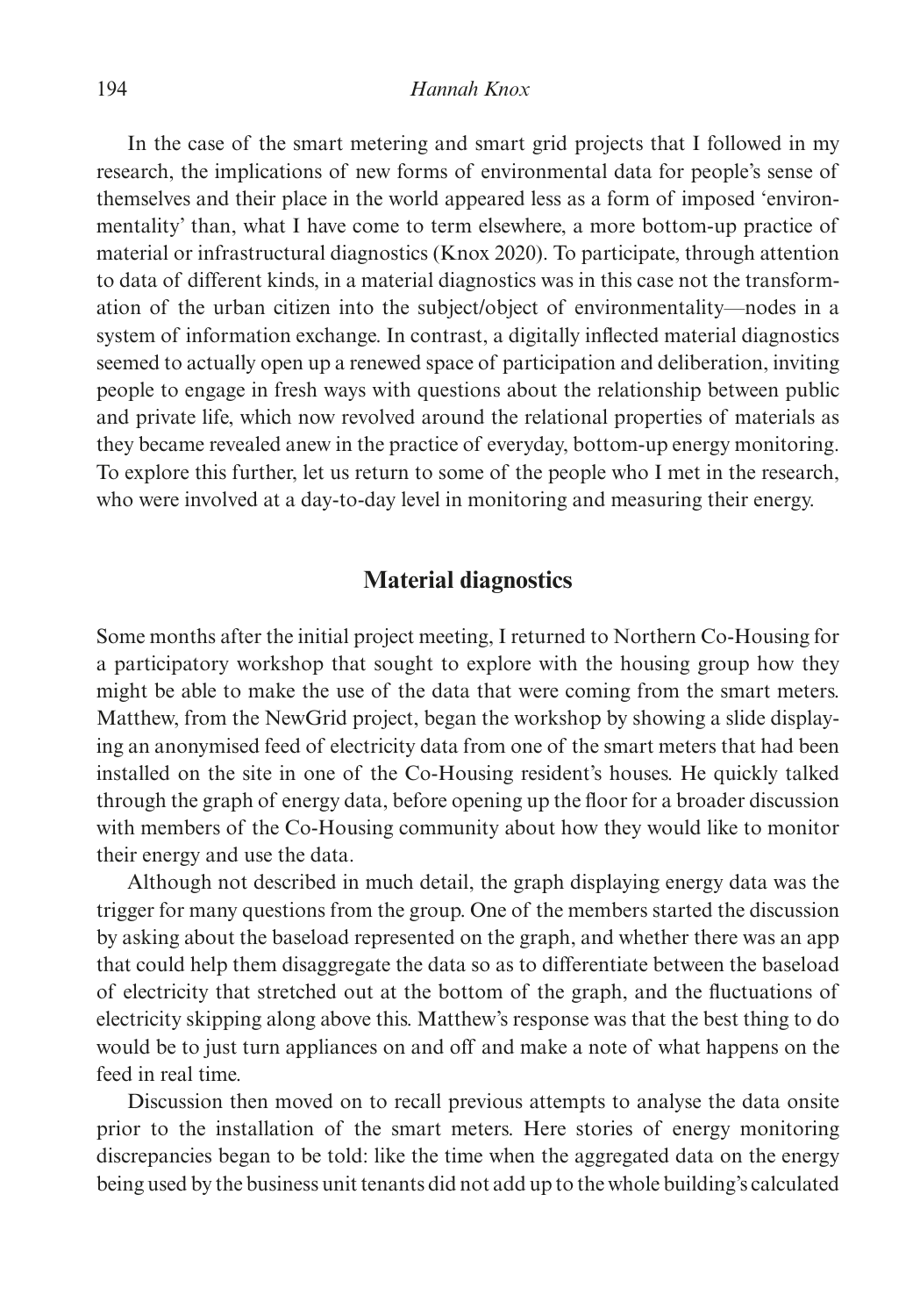#### 194 *Hannah Knox*

In the case of the smart metering and smart grid projects that I followed in my research, the implications of new forms of environmental data for people's sense of themselves and their place in the world appeared less as a form of imposed 'environmentality' than, what I have come to term elsewhere, a more bottom-up practice of material or infrastructural diagnostics (Knox 2020). To participate, through attention to data of different kinds, in a material diagnostics was in this case not the transformation of the urban citizen into the subject/object of environmentality—nodes in a system of information exchange. In contrast, a digitally inflected material diagnostics seemed to actually open up a renewed space of participation and deliberation, inviting people to engage in fresh ways with questions about the relationship between public and private life, which now revolved around the relational properties of materials as they became revealed anew in the practice of everyday, bottom-up energy monitoring. To explore this further, let us return to some of the people who I met in the research, who were involved at a day-to-day level in monitoring and measuring their energy.

## **Material diagnostics**

Some months after the initial project meeting, I returned to Northern Co-Housing for a participatory workshop that sought to explore with the housing group how they might be able to make the use of the data that were coming from the smart meters. Matthew, from the NewGrid project, began the workshop by showing a slide displaying an anonymised feed of electricity data from one of the smart meters that had been installed on the site in one of the Co-Housing resident's houses. He quickly talked through the graph of energy data, before opening up the floor for a broader discussion with members of the Co-Housing community about how they would like to monitor their energy and use the data.

Although not described in much detail, the graph displaying energy data was the trigger for many questions from the group. One of the members started the discussion by asking about the baseload represented on the graph, and whether there was an app that could help them disaggregate the data so as to differentiate between the baseload of electricity that stretched out at the bottom of the graph, and the fluctuations of electricity skipping along above this. Matthew's response was that the best thing to do would be to just turn appliances on and off and make a note of what happens on the feed in real time.

Discussion then moved on to recall previous attempts to analyse the data onsite prior to the installation of the smart meters. Here stories of energy monitoring discrepancies began to be told: like the time when the aggregated data on the energy being used by the business unit tenants did not add up to the whole building's calculated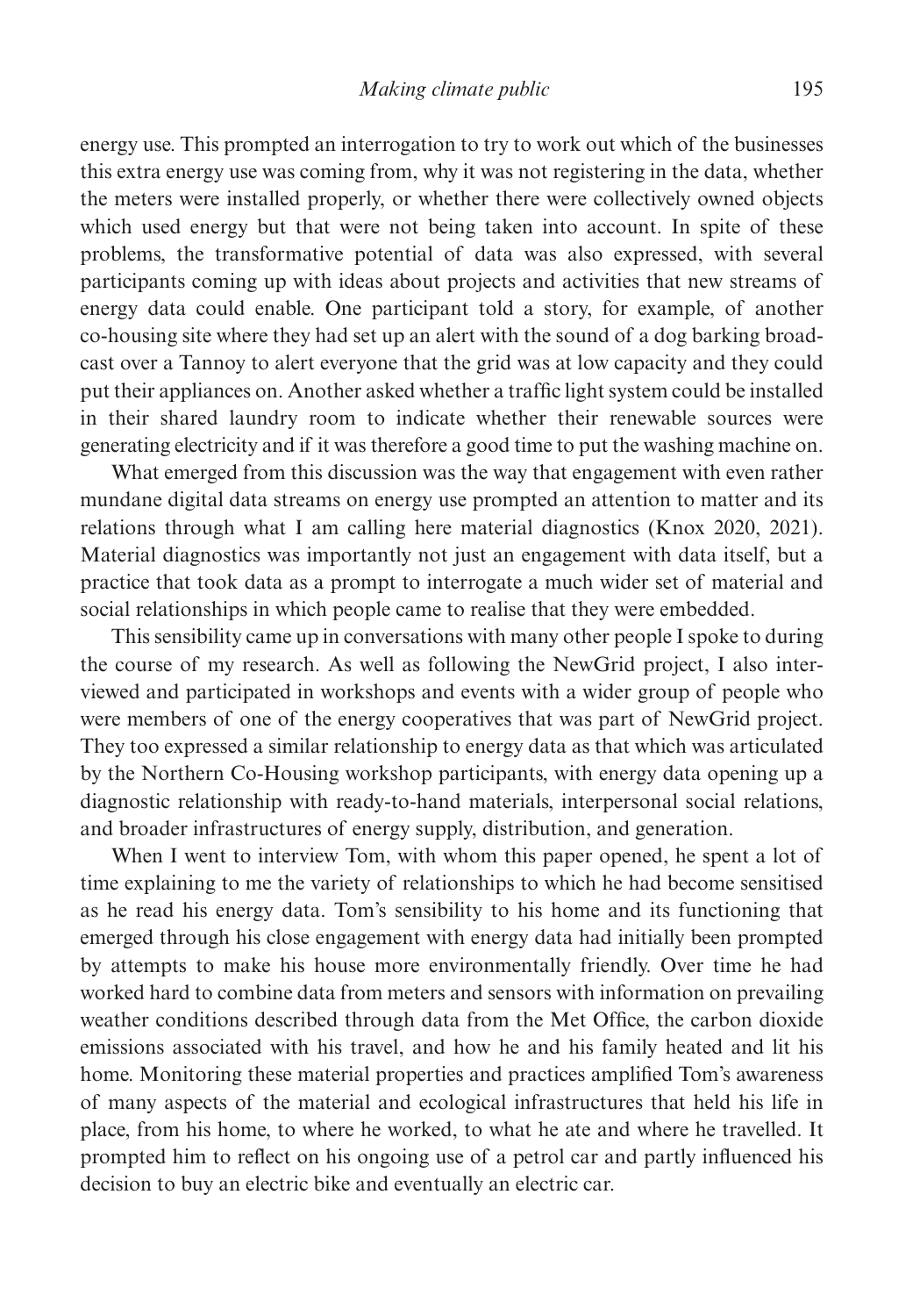energy use. This prompted an interrogation to try to work out which of the businesses this extra energy use was coming from, why it was not registering in the data, whether the meters were installed properly, or whether there were collectively owned objects which used energy but that were not being taken into account. In spite of these problems, the transformative potential of data was also expressed, with several participants coming up with ideas about projects and activities that new streams of energy data could enable. One participant told a story, for example, of another co-housing site where they had set up an alert with the sound of a dog barking broadcast over a Tannoy to alert everyone that the grid was at low capacity and they could put their appliances on. Another asked whether a traffic light system could be installed in their shared laundry room to indicate whether their renewable sources were generating electricity and if it was therefore a good time to put the washing machine on.

What emerged from this discussion was the way that engagement with even rather mundane digital data streams on energy use prompted an attention to matter and its relations through what I am calling here material diagnostics (Knox 2020, 2021). Material diagnostics was importantly not just an engagement with data itself, but a practice that took data as a prompt to interrogate a much wider set of material and social relationships in which people came to realise that they were embedded.

This sensibility came up in conversations with many other people I spoke to during the course of my research. As well as following the NewGrid project, I also interviewed and participated in workshops and events with a wider group of people who were members of one of the energy cooperatives that was part of NewGrid project. They too expressed a similar relationship to energy data as that which was articulated by the Northern Co-Housing workshop participants, with energy data opening up a diagnostic relationship with ready-to-hand materials, interpersonal social relations, and broader infrastructures of energy supply, distribution, and generation.

When I went to interview Tom, with whom this paper opened, he spent a lot of time explaining to me the variety of relationships to which he had become sensitised as he read his energy data. Tom's sensibility to his home and its functioning that emerged through his close engagement with energy data had initially been prompted by attempts to make his house more environmentally friendly. Over time he had worked hard to combine data from meters and sensors with information on prevailing weather conditions described through data from the Met Office, the carbon dioxide emissions associated with his travel, and how he and his family heated and lit his home. Monitoring these material properties and practices amplified Tom's awareness of many aspects of the material and ecological infrastructures that held his life in place, from his home, to where he worked, to what he ate and where he travelled. It prompted him to reflect on his ongoing use of a petrol car and partly influenced his decision to buy an electric bike and eventually an electric car.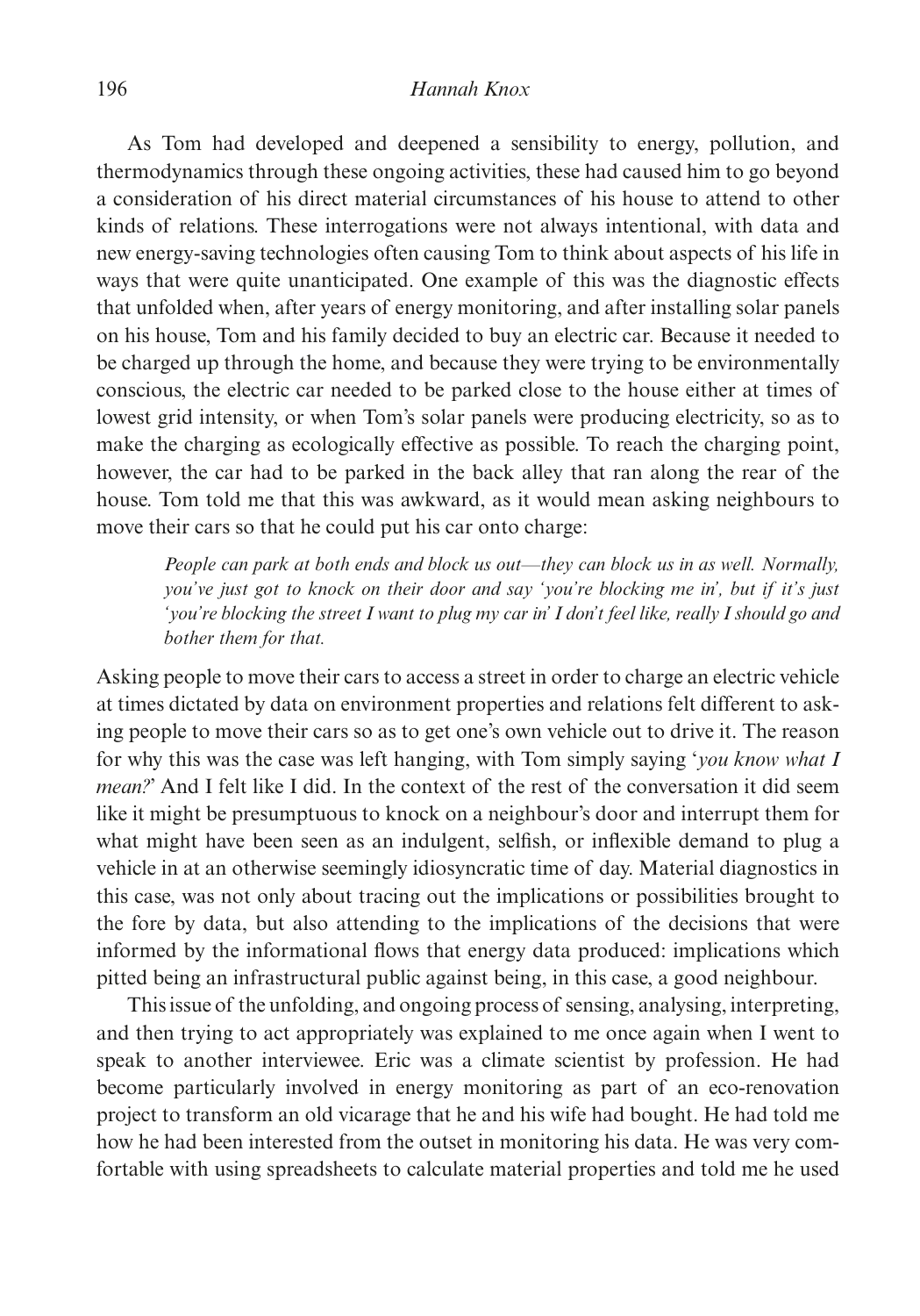#### 196 *Hannah Knox*

As Tom had developed and deepened a sensibility to energy, pollution, and thermodynamics through these ongoing activities, these had caused him to go beyond a consideration of his direct material circumstances of his house to attend to other kinds of relations. These interrogations were not always intentional, with data and new energy-saving technologies often causing Tom to think about aspects of his life in ways that were quite unanticipated. One example of this was the diagnostic effects that unfolded when, after years of energy monitoring, and after installing solar panels on his house, Tom and his family decided to buy an electric car. Because it needed to be charged up through the home, and because they were trying to be environmentally conscious, the electric car needed to be parked close to the house either at times of lowest grid intensity, or when Tom's solar panels were producing electricity, so as to make the charging as ecologically effective as possible. To reach the charging point, however, the car had to be parked in the back alley that ran along the rear of the house. Tom told me that this was awkward, as it would mean asking neighbours to move their cars so that he could put his car onto charge:

*People can park at both ends and block us out—they can block us in as well. Normally, you've just got to knock on their door and say 'you're blocking me in', but if it's just 'you're blocking the street I want to plug my car in' I don't feel like, really I should go and bother them for that.*

Asking people to move their cars to access a street in order to charge an electric vehicle at times dictated by data on environment properties and relations felt different to asking people to move their cars so as to get one's own vehicle out to drive it. The reason for why this was the case was left hanging, with Tom simply saying '*you know what I mean?*' And I felt like I did. In the context of the rest of the conversation it did seem like it might be presumptuous to knock on a neighbour's door and interrupt them for what might have been seen as an indulgent, selfish, or inflexible demand to plug a vehicle in at an otherwise seemingly idiosyncratic time of day. Material diagnostics in this case, was not only about tracing out the implications or possibilities brought to the fore by data, but also attending to the implications of the decisions that were informed by the informational flows that energy data produced: implications which pitted being an infrastructural public against being, in this case, a good neighbour.

This issue of the unfolding, and ongoing process of sensing, analysing, interpreting, and then trying to act appropriately was explained to me once again when I went to speak to another interviewee. Eric was a climate scientist by profession. He had become particularly involved in energy monitoring as part of an eco-renovation project to transform an old vicarage that he and his wife had bought. He had told me how he had been interested from the outset in monitoring his data. He was very comfortable with using spreadsheets to calculate material properties and told me he used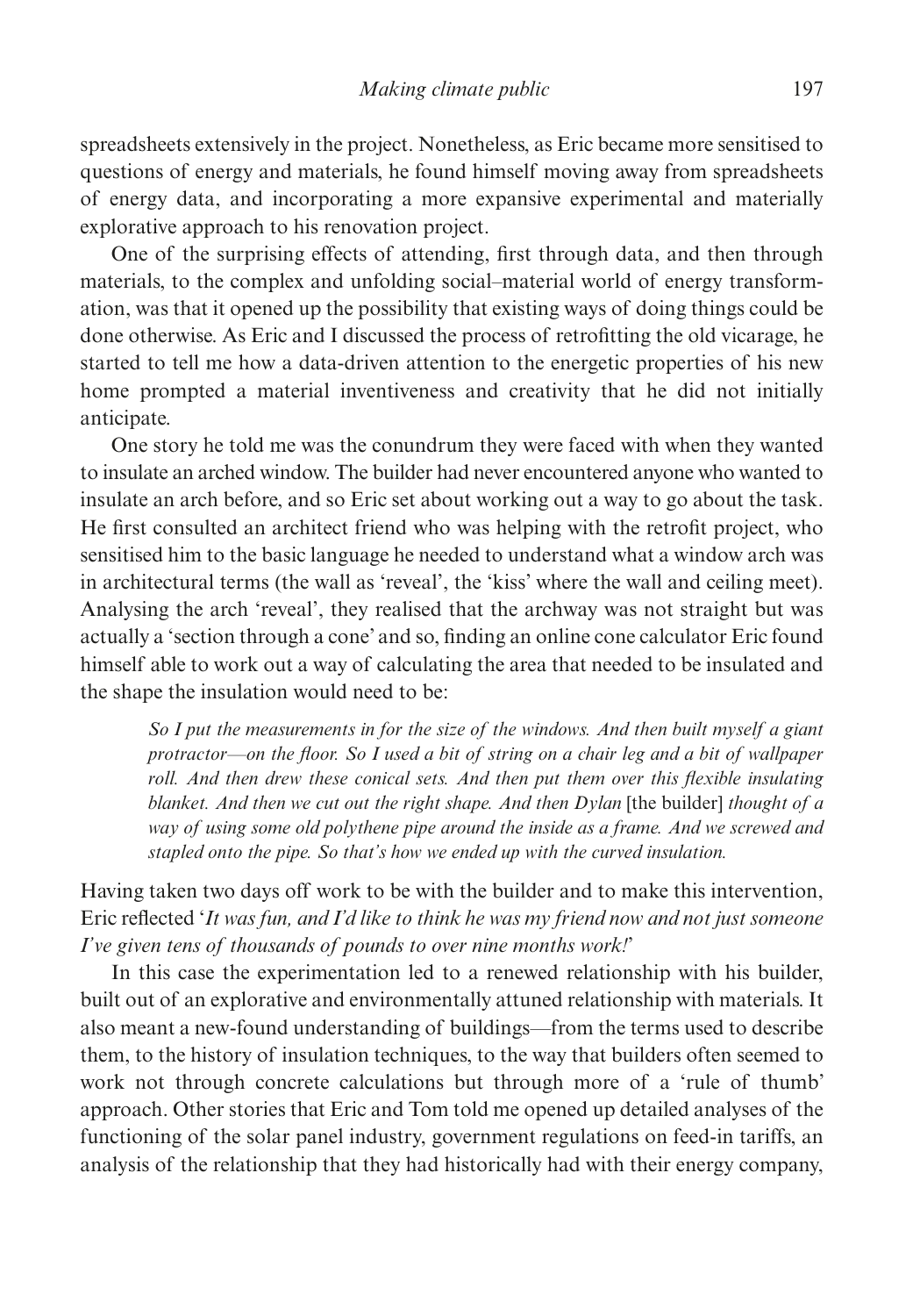spreadsheets extensively in the project. Nonetheless, as Eric became more sensitised to questions of energy and materials, he found himself moving away from spreadsheets of energy data, and incorporating a more expansive experimental and materially explorative approach to his renovation project.

One of the surprising effects of attending, first through data, and then through materials, to the complex and unfolding social–material world of energy transformation, was that it opened up the possibility that existing ways of doing things could be done otherwise. As Eric and I discussed the process of retrofitting the old vicarage, he started to tell me how a data-driven attention to the energetic properties of his new home prompted a material inventiveness and creativity that he did not initially anticipate.

One story he told me was the conundrum they were faced with when they wanted to insulate an arched window. The builder had never encountered anyone who wanted to insulate an arch before, and so Eric set about working out a way to go about the task. He first consulted an architect friend who was helping with the retrofit project, who sensitised him to the basic language he needed to understand what a window arch was in architectural terms (the wall as 'reveal', the 'kiss' where the wall and ceiling meet). Analysing the arch 'reveal', they realised that the archway was not straight but was actually a 'section through a cone' and so, finding an online cone calculator Eric found himself able to work out a way of calculating the area that needed to be insulated and the shape the insulation would need to be:

*So I put the measurements in for the size of the windows. And then built myself a giant protractor—on the floor. So I used a bit of string on a chair leg and a bit of wallpaper roll. And then drew these conical sets. And then put them over this flexible insulating blanket. And then we cut out the right shape. And then Dylan* [the builder] *thought of a way of using some old polythene pipe around the inside as a frame. And we screwed and stapled onto the pipe. So that's how we ended up with the curved insulation.*

Having taken two days off work to be with the builder and to make this intervention, Eric reflected '*It was fun, and I'd like to think he was my friend now and not just someone I've given tens of thousands of pounds to over nine months work!*'

In this case the experimentation led to a renewed relationship with his builder, built out of an explorative and environmentally attuned relationship with materials. It also meant a new-found understanding of buildings—from the terms used to describe them, to the history of insulation techniques, to the way that builders often seemed to work not through concrete calculations but through more of a 'rule of thumb' approach. Other stories that Eric and Tom told me opened up detailed analyses of the functioning of the solar panel industry, government regulations on feed-in tariffs, an analysis of the relationship that they had historically had with their energy company,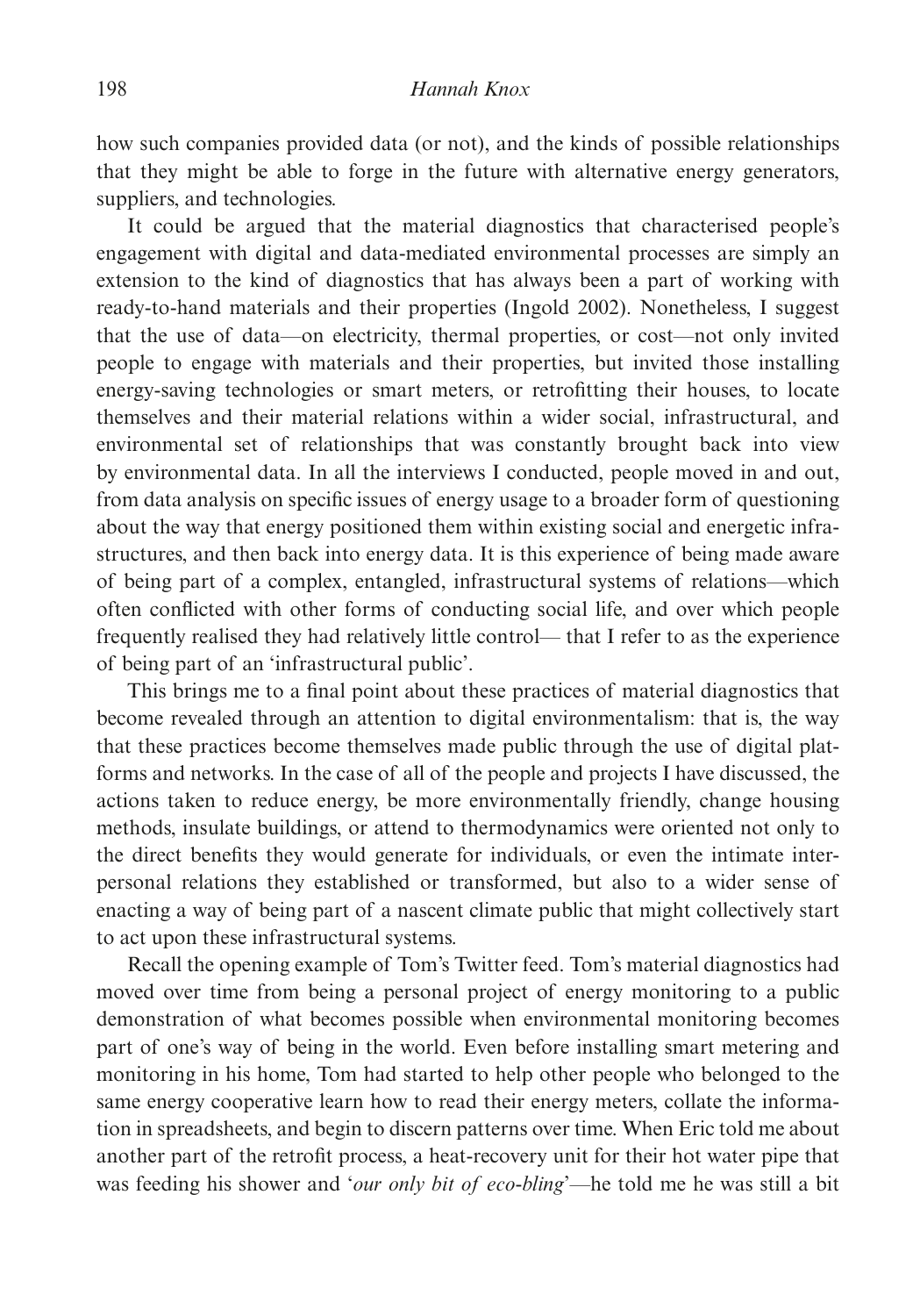how such companies provided data (or not), and the kinds of possible relationships that they might be able to forge in the future with alternative energy generators, suppliers, and technologies.

It could be argued that the material diagnostics that characterised people's engagement with digital and data-mediated environmental processes are simply an extension to the kind of diagnostics that has always been a part of working with ready-to-hand materials and their properties (Ingold 2002). Nonetheless, I suggest that the use of data—on electricity, thermal properties, or cost—not only invited people to engage with materials and their properties, but invited those installing energy-saving technologies or smart meters, or retrofitting their houses, to locate themselves and their material relations within a wider social, infrastructural, and environmental set of relationships that was constantly brought back into view by environmental data. In all the interviews I conducted, people moved in and out, from data analysis on specific issues of energy usage to a broader form of questioning about the way that energy positioned them within existing social and energetic infrastructures, and then back into energy data. It is this experience of being made aware of being part of a complex, entangled, infrastructural systems of relations—which often conflicted with other forms of conducting social life, and over which people frequently realised they had relatively little control— that I refer to as the experience of being part of an 'infrastructural public'.

This brings me to a final point about these practices of material diagnostics that become revealed through an attention to digital environmentalism: that is, the way that these practices become themselves made public through the use of digital platforms and networks. In the case of all of the people and projects I have discussed, the actions taken to reduce energy, be more environmentally friendly, change housing methods, insulate buildings, or attend to thermodynamics were oriented not only to the direct benefits they would generate for individuals, or even the intimate interpersonal relations they established or transformed, but also to a wider sense of enacting a way of being part of a nascent climate public that might collectively start to act upon these infrastructural systems.

Recall the opening example of Tom's Twitter feed. Tom's material diagnostics had moved over time from being a personal project of energy monitoring to a public demonstration of what becomes possible when environmental monitoring becomes part of one's way of being in the world. Even before installing smart metering and monitoring in his home, Tom had started to help other people who belonged to the same energy cooperative learn how to read their energy meters, collate the information in spreadsheets, and begin to discern patterns over time. When Eric told me about another part of the retrofit process, a heat-recovery unit for their hot water pipe that was feeding his shower and '*our only bit of eco-bling*'—he told me he was still a bit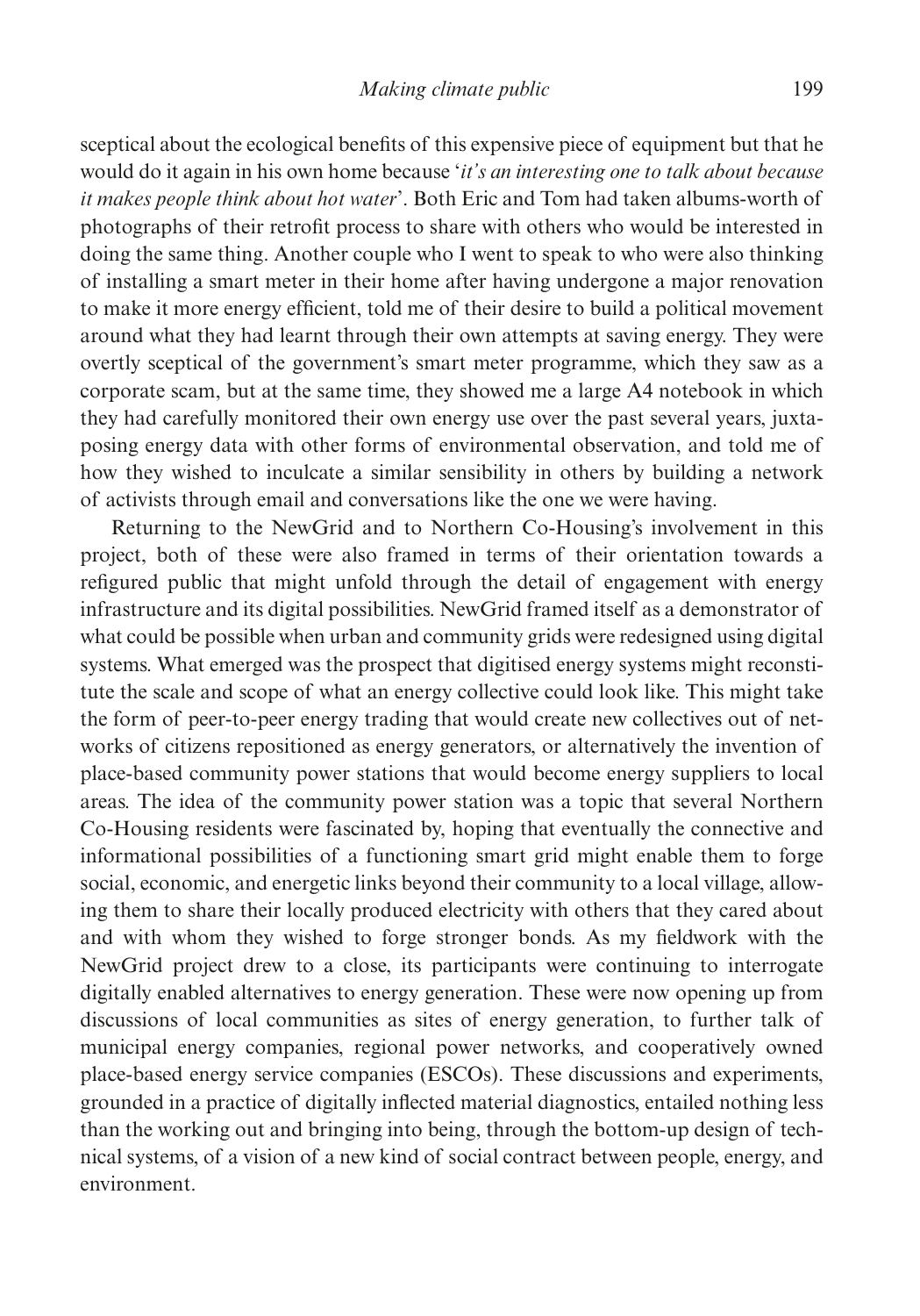sceptical about the ecological benefits of this expensive piece of equipment but that he would do it again in his own home because '*it's an interesting one to talk about because it makes people think about hot water*'. Both Eric and Tom had taken albums-worth of photographs of their retrofit process to share with others who would be interested in doing the same thing. Another couple who I went to speak to who were also thinking of installing a smart meter in their home after having undergone a major renovation to make it more energy efficient, told me of their desire to build a political movement around what they had learnt through their own attempts at saving energy. They were overtly sceptical of the government's smart meter programme, which they saw as a corporate scam, but at the same time, they showed me a large A4 notebook in which they had carefully monitored their own energy use over the past several years, juxtaposing energy data with other forms of environmental observation, and told me of how they wished to inculcate a similar sensibility in others by building a network of activists through email and conversations like the one we were having.

Returning to the NewGrid and to Northern Co-Housing's involvement in this project, both of these were also framed in terms of their orientation towards a refigured public that might unfold through the detail of engagement with energy infrastructure and its digital possibilities. NewGrid framed itself as a demonstrator of what could be possible when urban and community grids were redesigned using digital systems. What emerged was the prospect that digitised energy systems might reconstitute the scale and scope of what an energy collective could look like. This might take the form of peer-to-peer energy trading that would create new collectives out of networks of citizens repositioned as energy generators, or alternatively the invention of place-based community power stations that would become energy suppliers to local areas. The idea of the community power station was a topic that several Northern Co-Housing residents were fascinated by, hoping that eventually the connective and informational possibilities of a functioning smart grid might enable them to forge social, economic, and energetic links beyond their community to a local village, allowing them to share their locally produced electricity with others that they cared about and with whom they wished to forge stronger bonds. As my fieldwork with the NewGrid project drew to a close, its participants were continuing to interrogate digitally enabled alternatives to energy generation. These were now opening up from discussions of local communities as sites of energy generation, to further talk of municipal energy companies, regional power networks, and cooperatively owned place-based energy service companies (ESCOs). These discussions and experiments, grounded in a practice of digitally inflected material diagnostics, entailed nothing less than the working out and bringing into being, through the bottom-up design of technical systems, of a vision of a new kind of social contract between people, energy, and environment.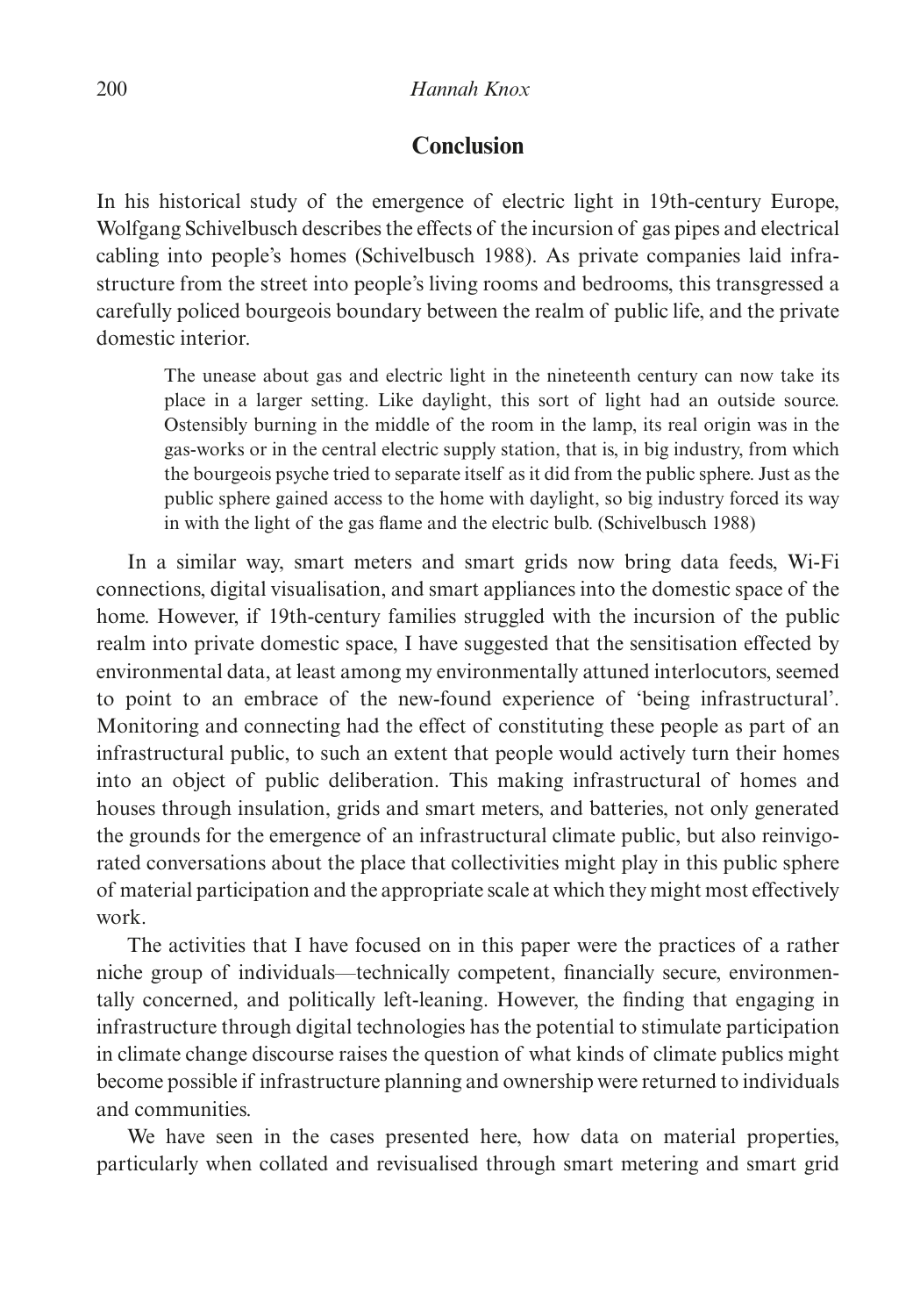## **Conclusion**

In his historical study of the emergence of electric light in 19th-century Europe, Wolfgang Schivelbusch describes the effects of the incursion of gas pipes and electrical cabling into people's homes (Schivelbusch 1988). As private companies laid infrastructure from the street into people's living rooms and bedrooms, this transgressed a carefully policed bourgeois boundary between the realm of public life, and the private domestic interior.

The unease about gas and electric light in the nineteenth century can now take its place in a larger setting. Like daylight, this sort of light had an outside source. Ostensibly burning in the middle of the room in the lamp, its real origin was in the gas-works or in the central electric supply station, that is, in big industry, from which the bourgeois psyche tried to separate itself as it did from the public sphere. Just as the public sphere gained access to the home with daylight, so big industry forced its way in with the light of the gas flame and the electric bulb. (Schivelbusch 1988)

In a similar way, smart meters and smart grids now bring data feeds, Wi-Fi connections, digital visualisation, and smart appliances into the domestic space of the home. However, if 19th-century families struggled with the incursion of the public realm into private domestic space, I have suggested that the sensitisation effected by environmental data, at least among my environmentally attuned interlocutors, seemed to point to an embrace of the new-found experience of 'being infrastructural'. Monitoring and connecting had the effect of constituting these people as part of an infrastructural public, to such an extent that people would actively turn their homes into an object of public deliberation. This making infrastructural of homes and houses through insulation, grids and smart meters, and batteries, not only generated the grounds for the emergence of an infrastructural climate public, but also reinvigorated conversations about the place that collectivities might play in this public sphere of material participation and the appropriate scale at which they might most effectively work.

The activities that I have focused on in this paper were the practices of a rather niche group of individuals—technically competent, financially secure, environmentally concerned, and politically left-leaning. However, the finding that engaging in infrastructure through digital technologies has the potential to stimulate participation in climate change discourse raises the question of what kinds of climate publics might become possible if infrastructure planning and ownership were returned to individuals and communities.

We have seen in the cases presented here, how data on material properties, particularly when collated and revisualised through smart metering and smart grid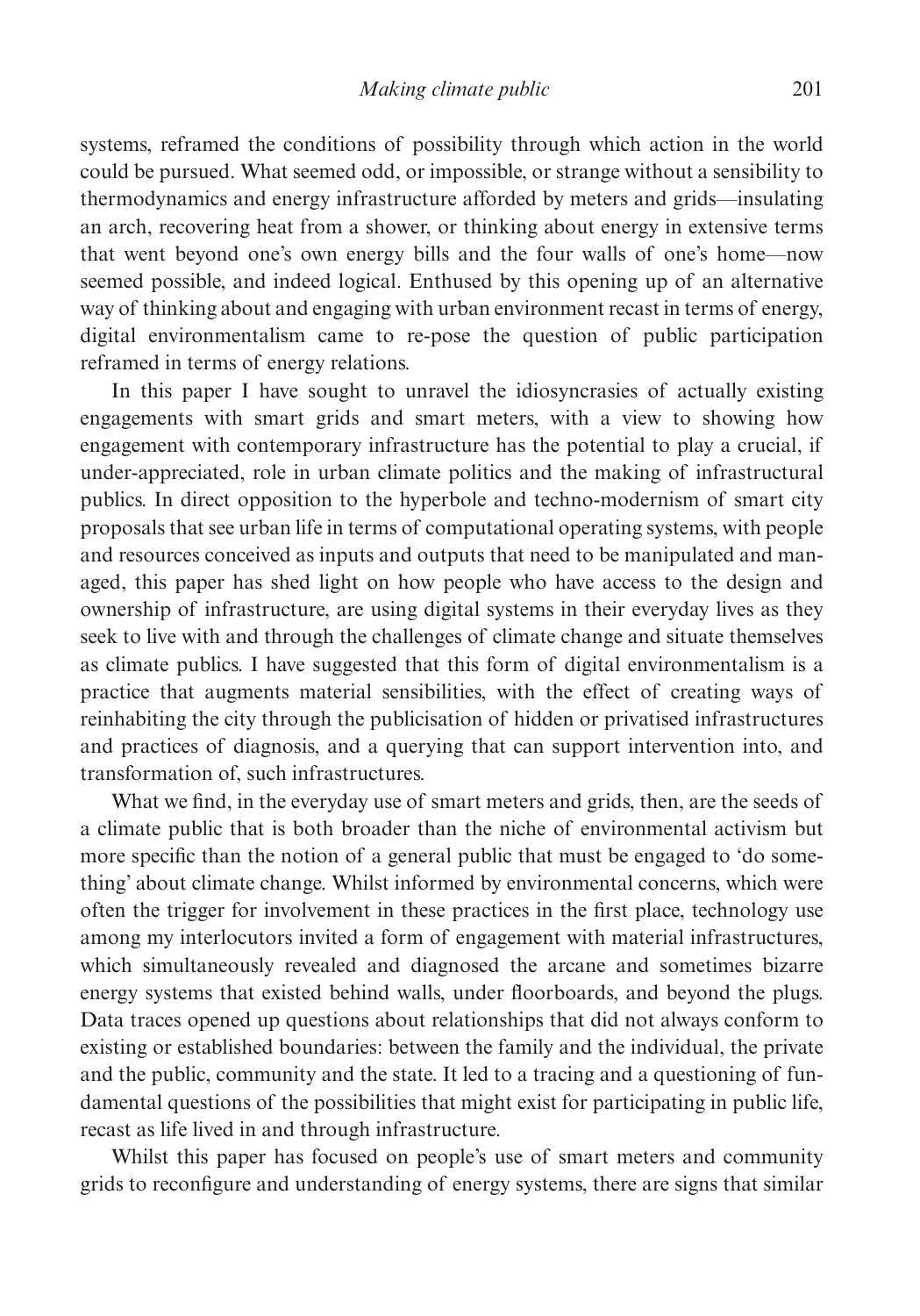systems, reframed the conditions of possibility through which action in the world could be pursued. What seemed odd, or impossible, or strange without a sensibility to thermodynamics and energy infrastructure afforded by meters and grids—insulating an arch, recovering heat from a shower, or thinking about energy in extensive terms that went beyond one's own energy bills and the four walls of one's home—now seemed possible, and indeed logical. Enthused by this opening up of an alternative way of thinking about and engaging with urban environment recast in terms of energy, digital environmentalism came to re-pose the question of public participation reframed in terms of energy relations.

In this paper I have sought to unravel the idiosyncrasies of actually existing engagements with smart grids and smart meters, with a view to showing how engagement with contemporary infrastructure has the potential to play a crucial, if under-appreciated, role in urban climate politics and the making of infrastructural publics. In direct opposition to the hyperbole and techno-modernism of smart city proposals that see urban life in terms of computational operating systems, with people and resources conceived as inputs and outputs that need to be manipulated and managed, this paper has shed light on how people who have access to the design and ownership of infrastructure, are using digital systems in their everyday lives as they seek to live with and through the challenges of climate change and situate themselves as climate publics. I have suggested that this form of digital environmentalism is a practice that augments material sensibilities, with the effect of creating ways of reinhabiting the city through the publicisation of hidden or privatised infrastructures and practices of diagnosis, and a querying that can support intervention into, and transformation of, such infrastructures.

What we find, in the everyday use of smart meters and grids, then, are the seeds of a climate public that is both broader than the niche of environmental activism but more specific than the notion of a general public that must be engaged to 'do something' about climate change. Whilst informed by environmental concerns, which were often the trigger for involvement in these practices in the first place, technology use among my interlocutors invited a form of engagement with material infrastructures, which simultaneously revealed and diagnosed the arcane and sometimes bizarre energy systems that existed behind walls, under floorboards, and beyond the plugs. Data traces opened up questions about relationships that did not always conform to existing or established boundaries: between the family and the individual, the private and the public, community and the state. It led to a tracing and a questioning of fundamental questions of the possibilities that might exist for participating in public life, recast as life lived in and through infrastructure.

Whilst this paper has focused on people's use of smart meters and community grids to reconfigure and understanding of energy systems, there are signs that similar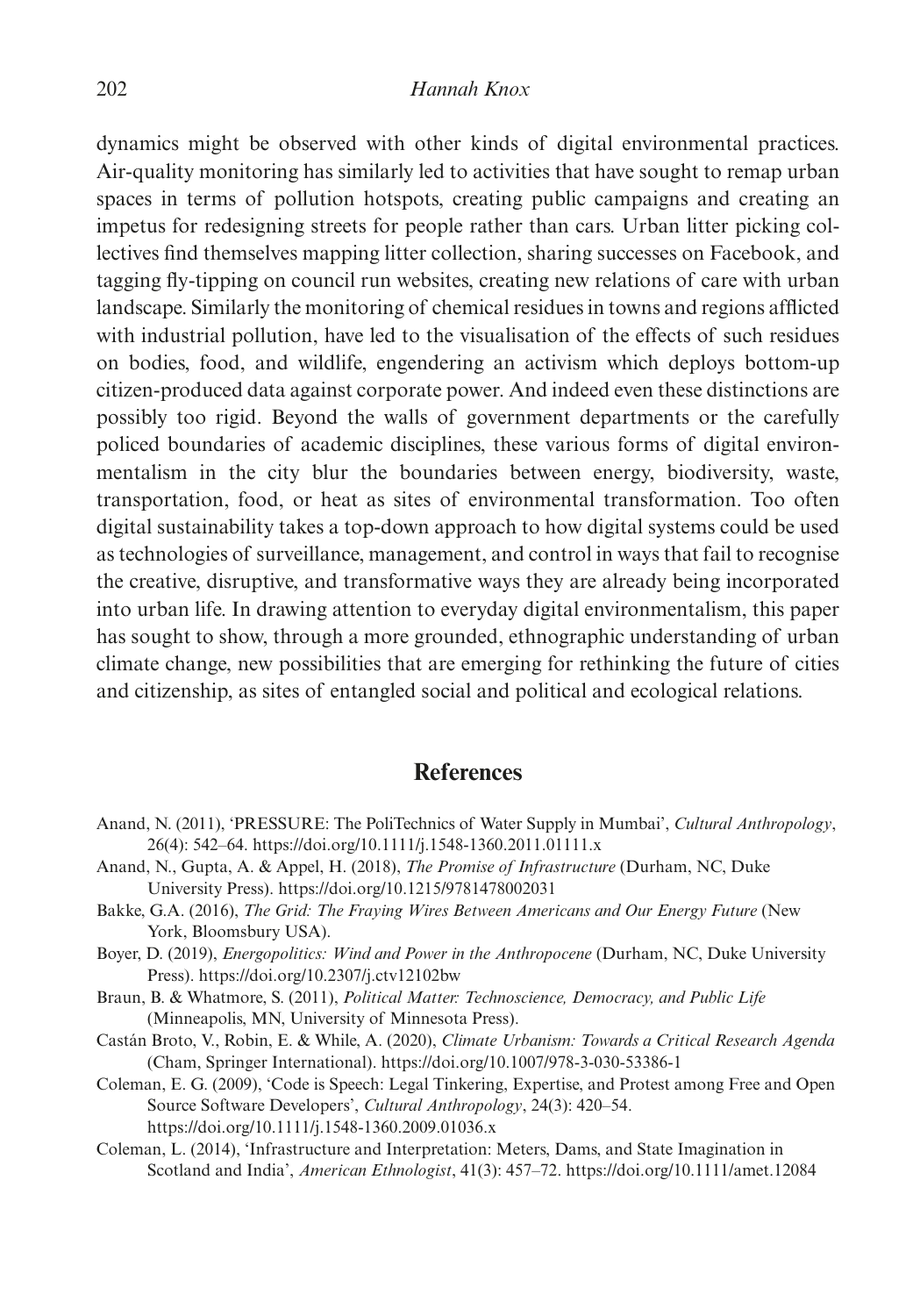#### 202 *Hannah Knox*

dynamics might be observed with other kinds of digital environmental practices. Air-quality monitoring has similarly led to activities that have sought to remap urban spaces in terms of pollution hotspots, creating public campaigns and creating an impetus for redesigning streets for people rather than cars. Urban litter picking collectives find themselves mapping litter collection, sharing successes on Facebook, and tagging fly-tipping on council run websites, creating new relations of care with urban landscape. Similarly the monitoring of chemical residues in towns and regions afflicted with industrial pollution, have led to the visualisation of the effects of such residues on bodies, food, and wildlife, engendering an activism which deploys bottom-up citizen-produced data against corporate power. And indeed even these distinctions are possibly too rigid. Beyond the walls of government departments or the carefully policed boundaries of academic disciplines, these various forms of digital environmentalism in the city blur the boundaries between energy, biodiversity, waste, transportation, food, or heat as sites of environmental transformation. Too often digital sustainability takes a top-down approach to how digital systems could be used as technologies of surveillance, management, and control in ways that fail to recognise the creative, disruptive, and transformative ways they are already being incorporated into urban life. In drawing attention to everyday digital environmentalism, this paper has sought to show, through a more grounded, ethnographic understanding of urban climate change, new possibilities that are emerging for rethinking the future of cities and citizenship, as sites of entangled social and political and ecological relations.

## **References**

- Anand, N. (2011), 'PRESSURE: The PoliTechnics of Water Supply in Mumbai', *Cultural Anthropology*, 26(4): 542–64. https://doi.org/10.1111/j.1548-1360.2011.01111.x
- Anand, N., Gupta, A. & Appel, H. (2018), *The Promise of Infrastructure* (Durham, NC, Duke University Press). https://doi.org/10.1215/9781478002031
- Bakke, G.A. (2016), *The Grid: The Fraying Wires Between Americans and Our Energy Future* (New York, Bloomsbury USA).
- Boyer, D. (2019), *Energopolitics: Wind and Power in the Anthropocene* (Durham, NC, Duke University Press). https://doi.org/10.2307/j.ctv12102bw
- Braun, B. & Whatmore, S. (2011), *Political Matter: Technoscience, Democracy, and Public Life* (Minneapolis, MN, University of Minnesota Press).
- Castán Broto, V., Robin, E. & While, A. (2020), *Climate Urbanism: Towards a Critical Research Agenda* (Cham, Springer International). https://doi.org/10.1007/978-3-030-53386-1
- Coleman, E. G. (2009), 'Code is Speech: Legal Tinkering, Expertise, and Protest among Free and Open Source Software Developers', *Cultural Anthropology*, 24(3): 420–54. https://doi.org/10.1111/j.1548-1360.2009.01036.x
- Coleman, L. (2014), 'Infrastructure and Interpretation: Meters, Dams, and State Imagination in Scotland and India', *American Ethnologist*, 41(3): 457–72. https://doi.org/10.1111/amet.12084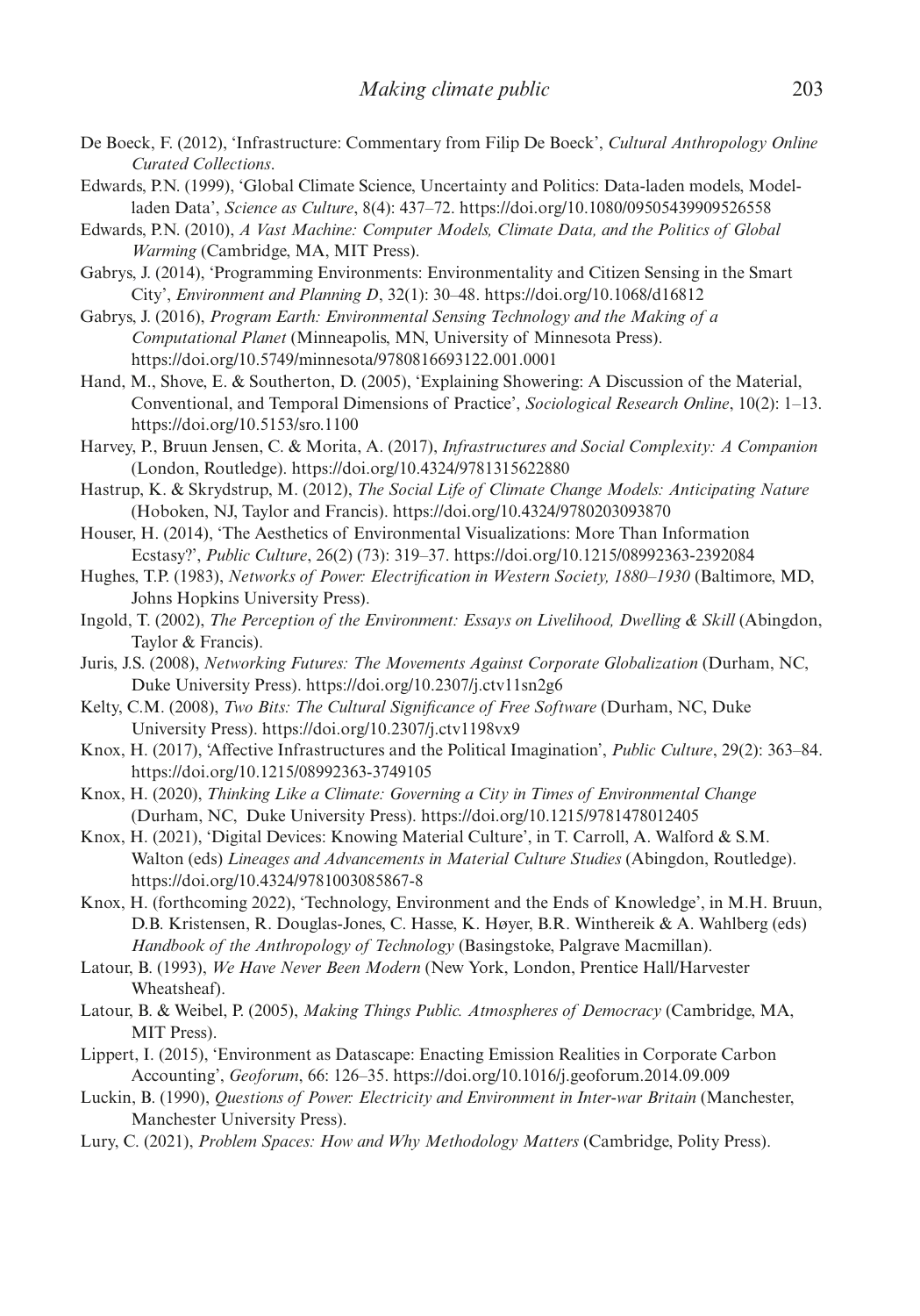- De Boeck, F. (2012), 'Infrastructure: Commentary from Filip De Boeck', *Cultural Anthropology Online Curated Collections*.
- Edwards, P.N. (1999), 'Global Climate Science, Uncertainty and Politics: Data-laden models, Modelladen Data', *Science as Culture*, 8(4): 437–72. https://doi.org/10.1080/09505439909526558
- Edwards, P.N. (2010), *A Vast Machine: Computer Models, Climate Data, and the Politics of Global Warming* (Cambridge, MA, MIT Press).
- Gabrys, J. (2014), 'Programming Environments: Environmentality and Citizen Sensing in the Smart City', *Environment and Planning D*, 32(1): 30–48. https://doi.org/10.1068/d16812
- Gabrys, J. (2016), *Program Earth: Environmental Sensing Technology and the Making of a Computational Planet* (Minneapolis, MN, University of Minnesota Press). https://doi.org/10.5749/minnesota/9780816693122.001.0001
- Hand, M., Shove, E. & Southerton, D. (2005), 'Explaining Showering: A Discussion of the Material, Conventional, and Temporal Dimensions of Practice', *Sociological Research Online*, 10(2): 1–13. https://doi.org/10.5153/sro.1100
- Harvey, P., Bruun Jensen, C. & Morita, A. (2017), *Infrastructures and Social Complexity: A Companion* (London, Routledge). https://doi.org/10.4324/9781315622880
- Hastrup, K. & Skrydstrup, M. (2012), *The Social Life of Climate Change Models: Anticipating Nature* (Hoboken, NJ, Taylor and Francis). https://doi.org/10.4324/9780203093870
- Houser, H. (2014), 'The Aesthetics of Environmental Visualizations: More Than Information Ecstasy?', *Public Culture*, 26(2) (73): 319–37. https://doi.org/10.1215/08992363-2392084
- Hughes, T.P. (1983), *Networks of Power: Electrification in Western Society, 1880–1930* (Baltimore, MD, Johns Hopkins University Press).
- Ingold, T. (2002), *The Perception of the Environment: Essays on Livelihood, Dwelling & Skill* (Abingdon, Taylor & Francis).
- Juris, J.S. (2008), *Networking Futures: The Movements Against Corporate Globalization* (Durham, NC, Duke University Press). https://doi.org/10.2307/j.ctv11sn2g6
- Kelty, C.M. (2008), *Two Bits: The Cultural Significance of Free Software* (Durham, NC, Duke University Press). https://doi.org/10.2307/j.ctv1198vx9
- Knox, H. (2017), 'Affective Infrastructures and the Political Imagination', *Public Culture*, 29(2): 363–84. https://doi.org/10.1215/08992363-3749105
- Knox, H. (2020), *Thinking Like a Climate: Governing a City in Times of Environmental Change* (Durham, NC, Duke University Press). https://doi.org/10.1215/9781478012405
- Knox, H. (2021), 'Digital Devices: Knowing Material Culture', in T. Carroll, A. Walford & S.M. Walton (eds) *Lineages and Advancements in Material Culture Studies* (Abingdon, Routledge). https://doi.org/10.4324/9781003085867-8
- Knox, H. (forthcoming 2022), 'Technology, Environment and the Ends of Knowledge', in M.H. Bruun, D.B. Kristensen, R. Douglas-Jones, C. Hasse, K. Høyer, B.R. Winthereik & A. Wahlberg (eds) *Handbook of the Anthropology of Technology* (Basingstoke, Palgrave Macmillan).
- Latour, B. (1993), *We Have Never Been Modern* (New York, London, Prentice Hall/Harvester Wheatsheaf).
- Latour, B. & Weibel, P. (2005), *Making Things Public. Atmospheres of Democracy* (Cambridge, MA, MIT Press).
- Lippert, I. (2015), 'Environment as Datascape: Enacting Emission Realities in Corporate Carbon Accounting', *Geoforum*, 66: 126–35. https://doi.org/10.1016/j.geoforum.2014.09.009
- Luckin, B. (1990), *Questions of Power: Electricity and Environment in Inter-war Britain* (Manchester, Manchester University Press).
- Lury, C. (2021), *Problem Spaces: How and Why Methodology Matters* (Cambridge, Polity Press).